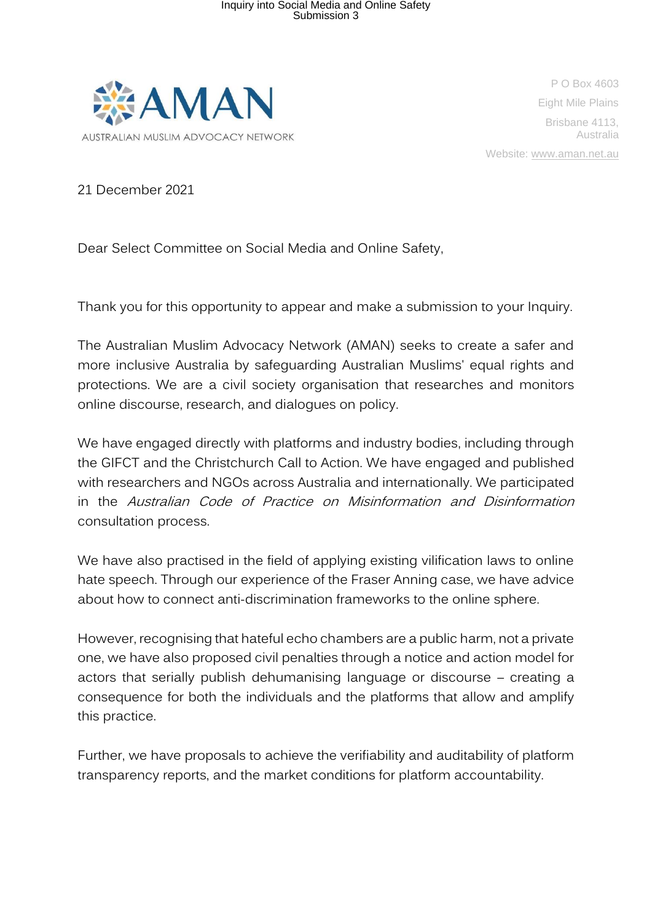

P O Box 4603 Eight Mile Plains Brisbane 4113, Australia Website: www.aman.net.au

21 December 2021

Dear Select Committee on Social Media and Online Safety,

Thank you for this opportunity to appear and make a submission to your Inquiry.

The Australian Muslim Advocacy Network (AMAN) seeks to create a safer and more inclusive Australia by safeguarding Australian Muslims' equal rights and protections. We are a civil society organisation that researches and monitors online discourse, research, and dialogues on policy.

We have engaged directly with platforms and industry bodies, including through the GIFCT and the Christchurch Call to Action. We have engaged and published with researchers and NGOs across Australia and internationally. We participated in the Australian Code of Practice on Misinformation and Disinformation consultation process.

We have also practised in the field of applying existing vilification laws to online hate speech. Through our experience of the Fraser Anning case, we have advice about how to connect anti-discrimination frameworks to the online sphere.

However, recognising that hateful echo chambers are a public harm, not a private one, we have also proposed civil penalties through a notice and action model for actors that serially publish dehumanising language or discourse – creating a consequence for both the individuals and the platforms that allow and amplify this practice.

Further, we have proposals to achieve the verifiability and auditability of platform transparency reports, and the market conditions for platform accountability.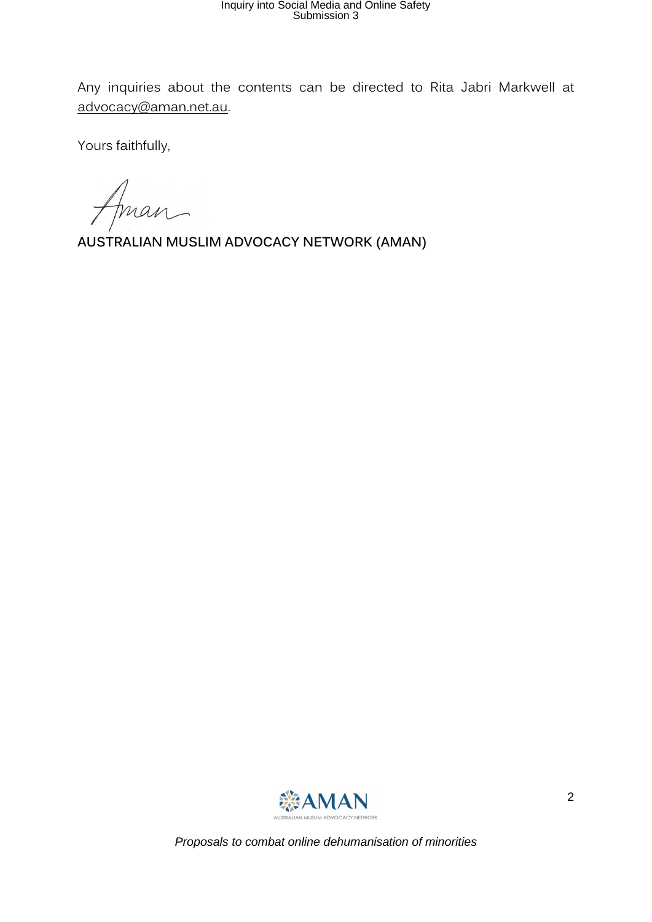Any inquiries about the contents can be directed to Rita Jabri Markwell at [advocacy@aman.net.au.](mailto:advocacy@aman.net.au)

Yours faithfully,

Aman

**AUSTRALIAN MUSLIM ADVOCACY NETWORK (AMAN)**

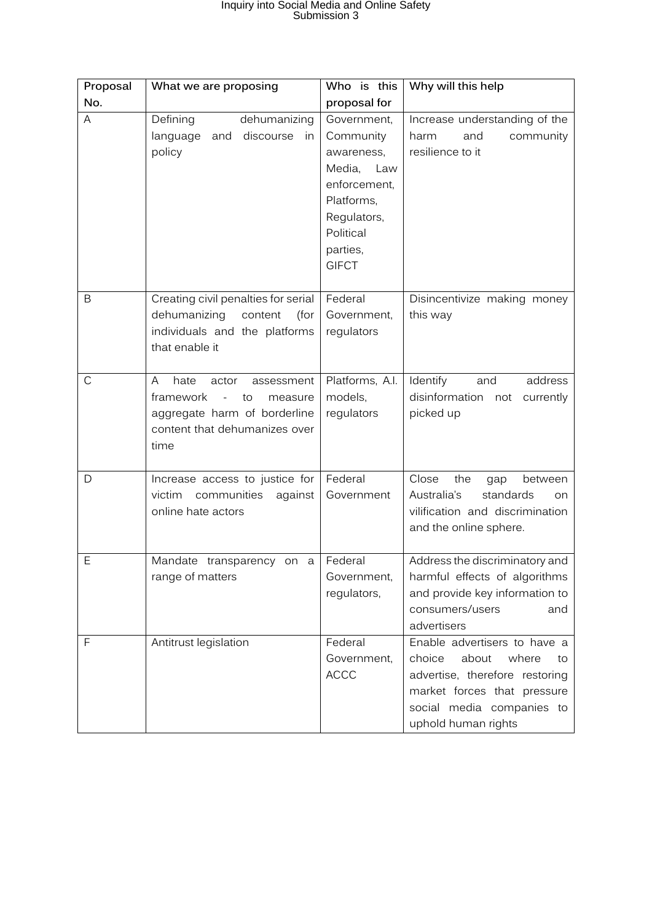| Proposal     | What we are proposing                                                                                                                                               | Who is this                                                                                                                                   | Why will this help                                                                                                                                                                  |
|--------------|---------------------------------------------------------------------------------------------------------------------------------------------------------------------|-----------------------------------------------------------------------------------------------------------------------------------------------|-------------------------------------------------------------------------------------------------------------------------------------------------------------------------------------|
| No.          |                                                                                                                                                                     | proposal for                                                                                                                                  |                                                                                                                                                                                     |
| A            | Defining<br>dehumanizing<br>discourse<br>language<br>and<br>in<br>policy                                                                                            | Government,<br>Community<br>awareness,<br>Media,<br>Law<br>enforcement,<br>Platforms,<br>Regulators,<br>Political<br>parties,<br><b>GIFCT</b> | Increase understanding of the<br>and<br>community<br>harm<br>resilience to it                                                                                                       |
| B            | Creating civil penalties for serial<br>dehumanizing<br>content<br>(for<br>individuals and the platforms<br>that enable it                                           | Federal<br>Government,<br>regulators                                                                                                          | Disincentivize making money<br>this way                                                                                                                                             |
| $\mathsf C$  | A<br>hate<br>assessment<br>actor<br>framework<br>to<br>measure<br>$\overline{\phantom{a}}$<br>aggregate harm of borderline<br>content that dehumanizes over<br>time | Platforms, A.I.<br>models,<br>regulators                                                                                                      | Identify<br>address<br>and<br>disinformation<br>not<br>currently<br>picked up                                                                                                       |
| D            | Increase access to justice for<br>communities<br>victim<br>against<br>online hate actors                                                                            | Federal<br>Government                                                                                                                         | Close<br>the<br>gap<br>between<br>Australia's<br>standards<br>on<br>vilification and discrimination<br>and the online sphere.                                                       |
| Ε            | Mandate transparency on<br>$\rm{a}$<br>range of matters                                                                                                             | Federal<br>Government,<br>regulators,                                                                                                         | Address the discriminatory and<br>harmful effects of algorithms<br>and provide key information to<br>consumers/users<br>and<br>advertisers                                          |
| $\mathsf{F}$ | Antitrust legislation                                                                                                                                               | Federal<br>Government,<br><b>ACCC</b>                                                                                                         | Enable advertisers to have a<br>choice<br>about<br>where<br>to<br>advertise, therefore restoring<br>market forces that pressure<br>social media companies to<br>uphold human rights |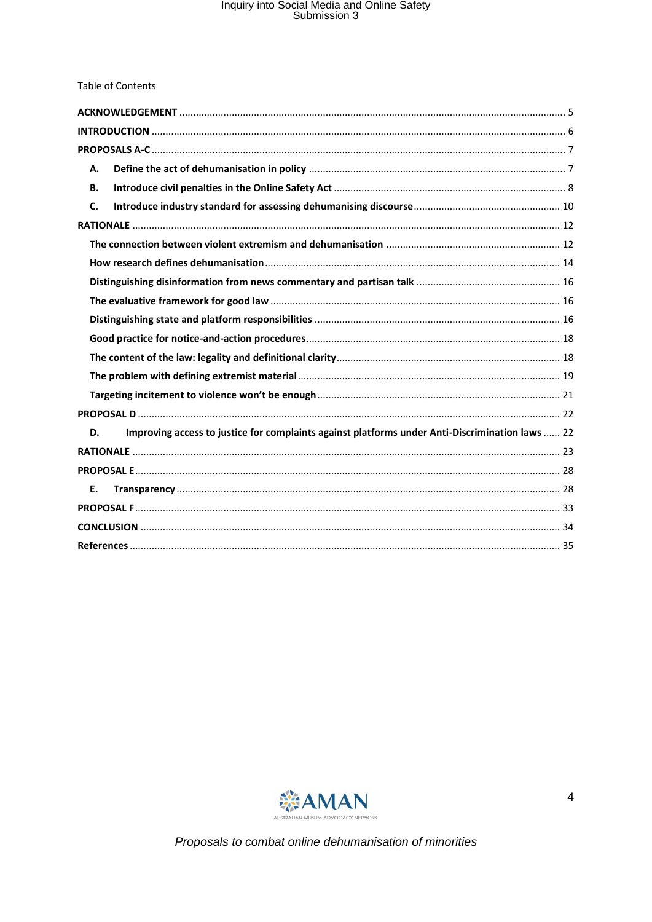| <b>Table of Contents</b>                                                                              |  |
|-------------------------------------------------------------------------------------------------------|--|
|                                                                                                       |  |
|                                                                                                       |  |
|                                                                                                       |  |
| А.                                                                                                    |  |
| В.                                                                                                    |  |
| C.                                                                                                    |  |
|                                                                                                       |  |
|                                                                                                       |  |
|                                                                                                       |  |
|                                                                                                       |  |
|                                                                                                       |  |
|                                                                                                       |  |
|                                                                                                       |  |
|                                                                                                       |  |
|                                                                                                       |  |
|                                                                                                       |  |
|                                                                                                       |  |
| Improving access to justice for complaints against platforms under Anti-Discrimination laws  22<br>D. |  |
|                                                                                                       |  |
|                                                                                                       |  |
| Ε.                                                                                                    |  |
|                                                                                                       |  |
|                                                                                                       |  |
|                                                                                                       |  |

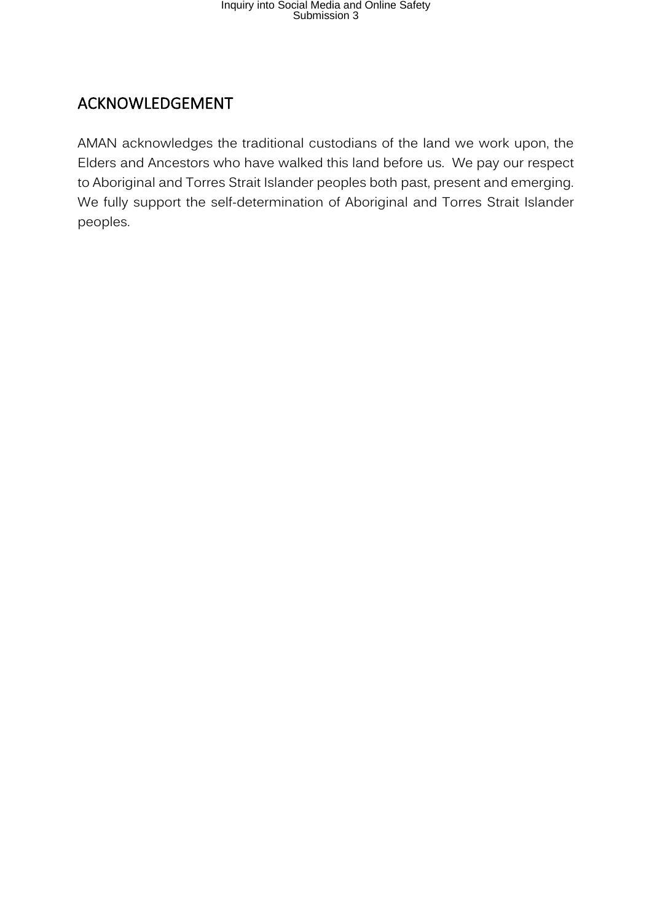#### <span id="page-4-0"></span>ACKNOWLEDGEMENT

AMAN acknowledges the traditional custodians of the land we work upon, the Elders and Ancestors who have walked this land before us. We pay our respect to Aboriginal and Torres Strait Islander peoples both past, present and emerging. We fully support the self-determination of Aboriginal and Torres Strait Islander peoples.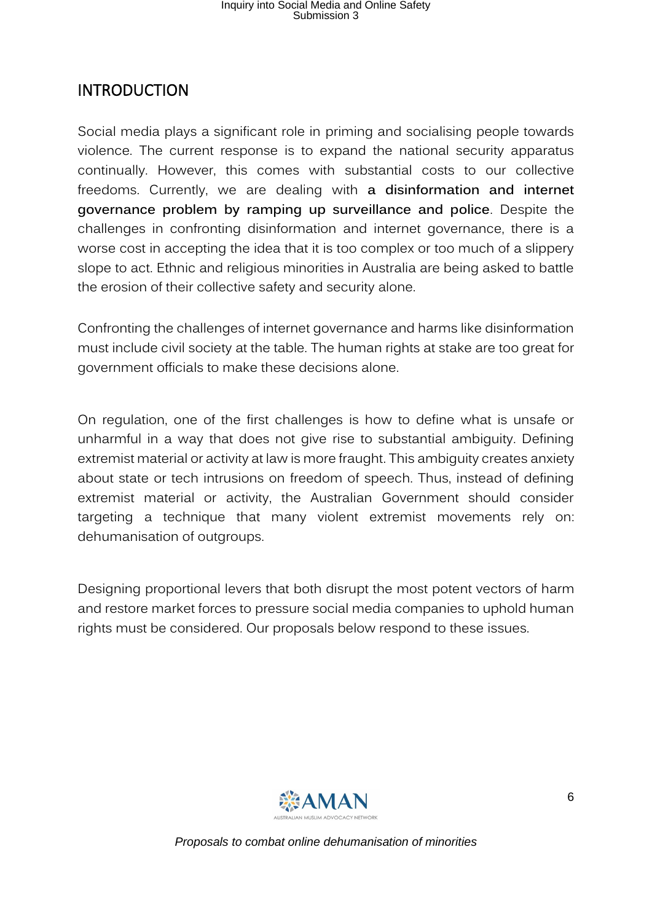#### <span id="page-5-0"></span>INTRODUCTION

Social media plays a significant role in priming and socialising people towards violence. The current response is to expand the national security apparatus continually. However, this comes with substantial costs to our collective freedoms. Currently, we are dealing with **a disinformation and internet governance problem by ramping up surveillance and police**. Despite the challenges in confronting disinformation and internet governance, there is a worse cost in accepting the idea that it is too complex or too much of a slippery slope to act. Ethnic and religious minorities in Australia are being asked to battle the erosion of their collective safety and security alone.

Confronting the challenges of internet governance and harms like disinformation must include civil society at the table. The human rights at stake are too great for government officials to make these decisions alone.

On regulation, one of the first challenges is how to define what is unsafe or unharmful in a way that does not give rise to substantial ambiguity. Defining extremist material or activity at law is more fraught. This ambiguity creates anxiety about state or tech intrusions on freedom of speech. Thus, instead of defining extremist material or activity, the Australian Government should consider targeting a technique that many violent extremist movements rely on: dehumanisation of outgroups.

Designing proportional levers that both disrupt the most potent vectors of harm and restore market forces to pressure social media companies to uphold human rights must be considered. Our proposals below respond to these issues.

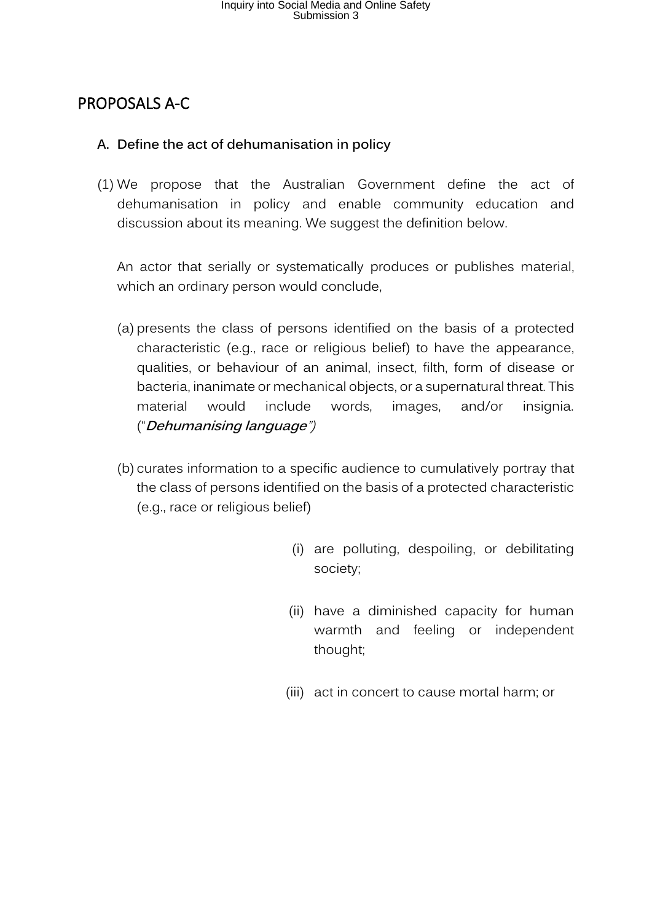#### <span id="page-6-0"></span>PROPOSALS A-C

#### <span id="page-6-1"></span>**A. Define the act of dehumanisation in policy**

(1) We propose that the Australian Government define the act of dehumanisation in policy and enable community education and discussion about its meaning. We suggest the definition below.

An actor that serially or systematically produces or publishes material, which an ordinary person would conclude,

- (a) presents the class of persons identified on the basis of a protected characteristic (e.g., race or religious belief) to have the appearance, qualities, or behaviour of an animal, insect, filth, form of disease or bacteria, inanimate or mechanical objects, or a supernatural threat. This material would include words, images, and/or insignia. ("**Dehumanising language**")
- (b) curates information to a specific audience to cumulatively portray that the class of persons identified on the basis of a protected characteristic (e.g., race or religious belief)
	- (i) are polluting, despoiling, or debilitating society;
	- (ii) have a diminished capacity for human warmth and feeling or independent thought;
	- (iii) act in concert to cause mortal harm; or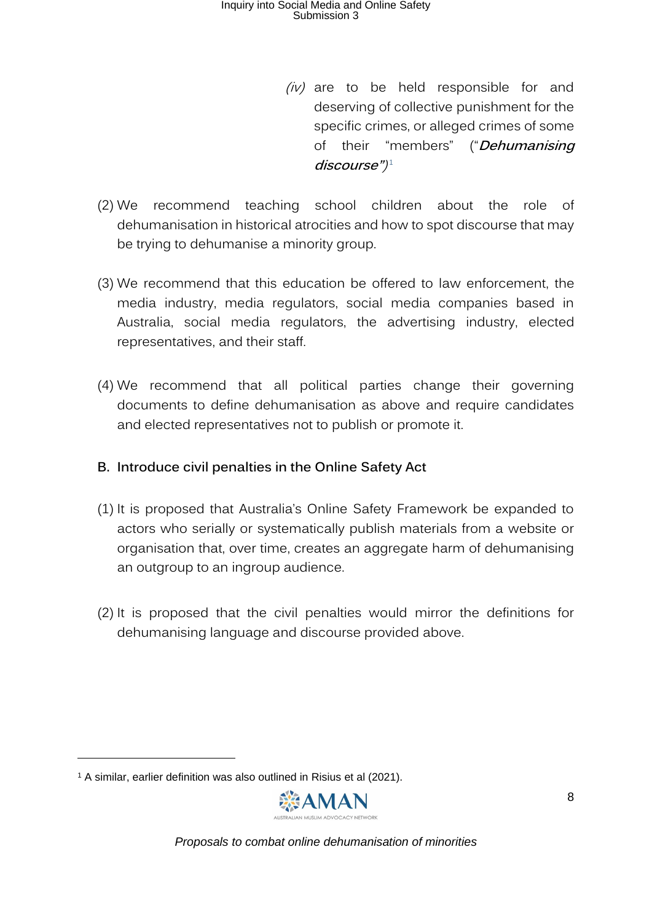- $(iv)$  are to be held responsible for and deserving of collective punishment for the specific crimes, or alleged crimes of some of their "members" ("**Dehumanising discourse"**) 1
- (2) We recommend teaching school children about the role of dehumanisation in historical atrocities and how to spot discourse that may be trying to dehumanise a minority group.
- (3) We recommend that this education be offered to law enforcement, the media industry, media regulators, social media companies based in Australia, social media regulators, the advertising industry, elected representatives, and their staff.
- (4) We recommend that all political parties change their governing documents to define dehumanisation as above and require candidates and elected representatives not to publish or promote it.

#### <span id="page-7-0"></span>**B. Introduce civil penalties in the Online Safety Act**

- (1) It is proposed that Australia's Online Safety Framework be expanded to actors who serially or systematically publish materials from a website or organisation that, over time, creates an aggregate harm of dehumanising an outgroup to an ingroup audience.
- (2) It is proposed that the civil penalties would mirror the definitions for dehumanising language and discourse provided above.

<sup>1</sup> A similar, earlier definition was also outlined in Risius et al (2021).

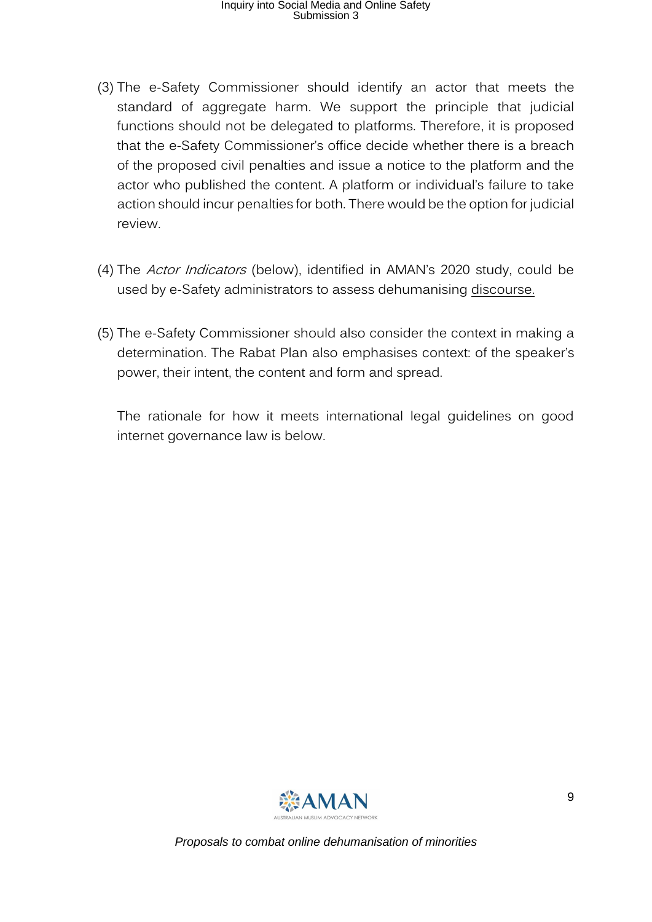- (3) The e-Safety Commissioner should identify an actor that meets the standard of aggregate harm. We support the principle that judicial functions should not be delegated to platforms. Therefore, it is proposed that the e-Safety Commissioner's office decide whether there is a breach of the proposed civil penalties and issue a notice to the platform and the actor who published the content. A platform or individual's failure to take action should incur penalties for both. There would be the option for judicial review.
- (4) The Actor Indicators (below), identified in AMAN's 2020 study, could be used by e-Safety administrators to assess dehumanising discourse.
- (5) The e-Safety Commissioner should also consider the context in making a determination. The Rabat Plan also emphasises context: of the speaker's power, their intent, the content and form and spread.

The rationale for how it meets international legal guidelines on good internet governance law is below.

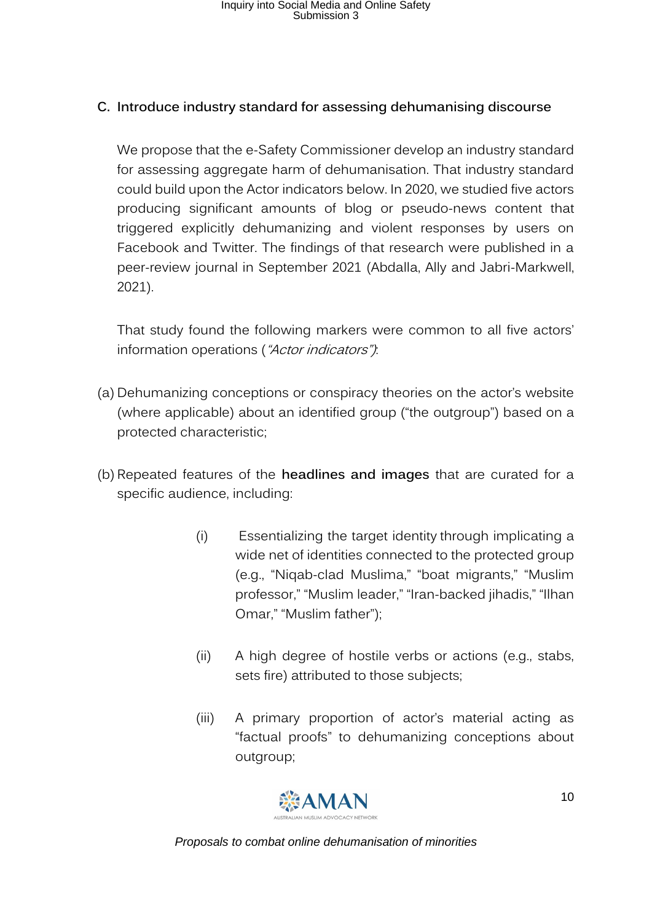#### <span id="page-9-0"></span>**C. Introduce industry standard for assessing dehumanising discourse**

We propose that the e-Safety Commissioner develop an industry standard for assessing aggregate harm of dehumanisation. That industry standard could build upon the Actor indicators below. In 2020, we studied five actors producing significant amounts of blog or pseudo-news content that triggered explicitly dehumanizing and violent responses by users on Facebook and Twitter. The findings of that research were published in a peer-review journal in September 2021 (Abdalla, Ally and Jabri-Markwell, 2021).

That study found the following markers were common to all five actors' information operations ("Actor indicators").

- (a) Dehumanizing conceptions or conspiracy theories on the actor's website (where applicable) about an identified group ("the outgroup") based on a protected characteristic;
- (b) Repeated features of the **headlines and images** that are curated for a specific audience, including:
	- (i) Essentializing the target identity through implicating a wide net of identities connected to the protected group (e.g., "Niqab-clad Muslima," "boat migrants," "Muslim professor," "Muslim leader," "Iran-backed jihadis," "Ilhan Omar," "Muslim father");
	- (ii) A high degree of hostile verbs or actions (e.g., stabs, sets fire) attributed to those subjects;
	- (iii) A primary proportion of actor's material acting as "factual proofs" to dehumanizing conceptions about outgroup;

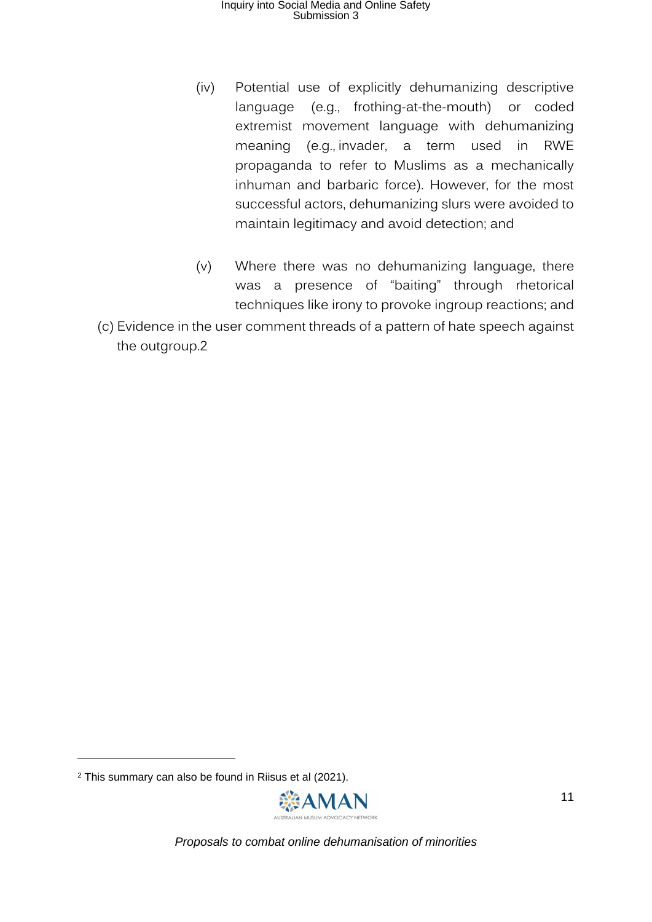- (iv) Potential use of explicitly dehumanizing descriptive language (e.g., frothing-at-the-mouth) or coded extremist movement language with dehumanizing meaning (e.g., invader, a term used in RWE propaganda to refer to Muslims as a mechanically inhuman and barbaric force). However, for the most successful actors, dehumanizing slurs were avoided to maintain legitimacy and avoid detection; and
- (v) Where there was no dehumanizing language, there was a presence of "baiting" through rhetorical techniques like irony to provoke ingroup reactions; and
- (c) Evidence in the user comment threads of a pattern of hate speech against the outgroup.2

<sup>2</sup> This summary can also be found in Riisus et al (2021).

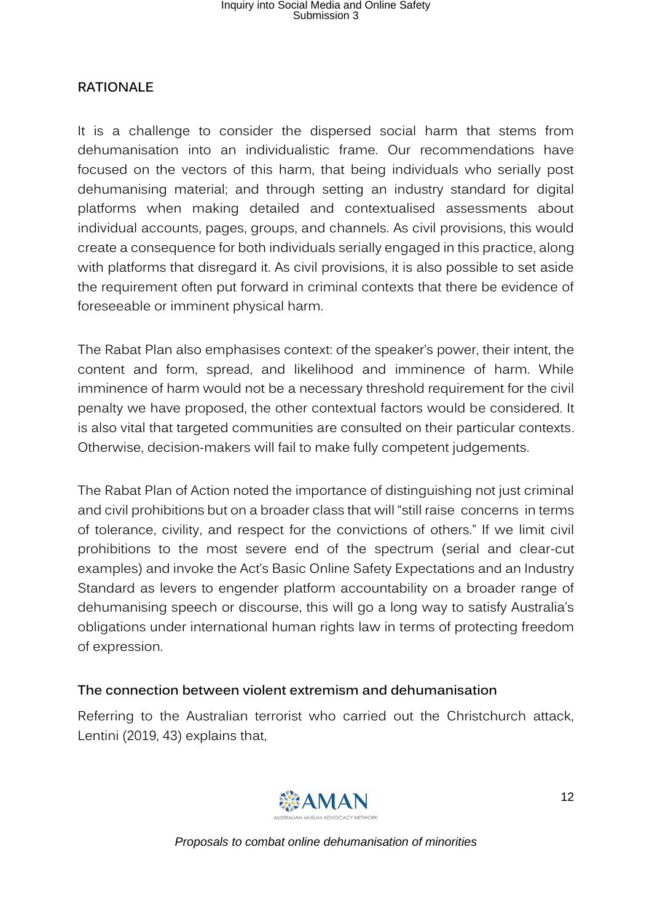#### <span id="page-11-0"></span>**RATIONALE**

It is a challenge to consider the dispersed social harm that stems from dehumanisation into an individualistic frame. Our recommendations have focused on the vectors of this harm, that being individuals who serially post dehumanising material; and through setting an industry standard for digital platforms when making detailed and contextualised assessments about individual accounts, pages, groups, and channels. As civil provisions, this would create a consequence for both individuals serially engaged in this practice, along with platforms that disregard it. As civil provisions, it is also possible to set aside the requirement often put forward in criminal contexts that there be evidence of foreseeable or imminent physical harm.

The Rabat Plan also emphasises context: of the speaker's power, their intent, the content and form, spread, and likelihood and imminence of harm. While imminence of harm would not be a necessary threshold requirement for the civil penalty we have proposed, the other contextual factors would be considered. It is also vital that targeted communities are consulted on their particular contexts. Otherwise, decision-makers will fail to make fully competent judgements.

The Rabat Plan of Action noted the importance of distinguishing not just criminal and civil prohibitions but on a broader class that will "still raise concerns in terms of tolerance, civility, and respect for the convictions of others." If we limit civil prohibitions to the most severe end of the spectrum (serial and clear-cut examples) and invoke the Act's Basic Online Safety Expectations and an Industry Standard as levers to engender platform accountability on a broader range of dehumanising speech or discourse, this will go a long way to satisfy Australia's obligations under international human rights law in terms of protecting freedom of expression.

#### <span id="page-11-1"></span>**The connection between violent extremism and dehumanisation**

Referring to the Australian terrorist who carried out the Christchurch attack, Lentini (2019, 43) explains that,

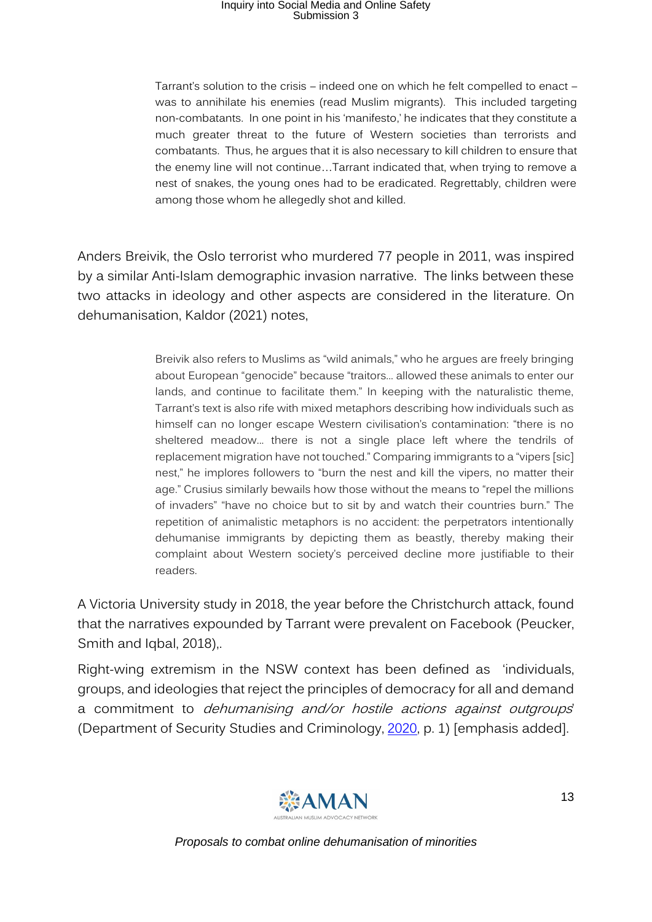Tarrant's solution to the crisis – indeed one on which he felt compelled to enact – was to annihilate his enemies (read Muslim migrants). This included targeting non-combatants. In one point in his 'manifesto,' he indicates that they constitute a much greater threat to the future of Western societies than terrorists and combatants. Thus, he argues that it is also necessary to kill children to ensure that the enemy line will not continue…Tarrant indicated that, when trying to remove a nest of snakes, the young ones had to be eradicated. Regrettably, children were among those whom he allegedly shot and killed.

Anders Breivik, the Oslo terrorist who murdered 77 people in 2011, was inspired by a similar Anti-Islam demographic invasion narrative. The links between these two attacks in ideology and other aspects are considered in the literature. On dehumanisation, Kaldor (2021) notes,

> Breivik also refers to Muslims as "wild animals," who he argues are freely bringing about European "genocide" because "traitors... allowed these animals to enter our lands, and continue to facilitate them." In keeping with the naturalistic theme, Tarrant's text is also rife with mixed metaphors describing how individuals such as himself can no longer escape Western civilisation's contamination: "there is no sheltered meadow... there is not a single place left where the tendrils of replacement migration have not touched." Comparing immigrants to a "vipers [sic] nest," he implores followers to "burn the nest and kill the vipers, no matter their age." Crusius similarly bewails how those without the means to "repel the millions of invaders" "have no choice but to sit by and watch their countries burn." The repetition of animalistic metaphors is no accident: the perpetrators intentionally dehumanise immigrants by depicting them as beastly, thereby making their complaint about Western society's perceived decline more justifiable to their readers.

A Victoria University study in 2018, the year before the Christchurch attack, found that the narratives expounded by Tarrant were prevalent on Facebook (Peucker, Smith and Iqbal, 2018),.

Right-wing extremism in the NSW context has been defined as 'individuals, groups, and ideologies that reject the principles of democracy for all and demand a commitment to dehumanising and/or hostile actions against outgroups' (Department of Security Studies and Criminology, [2020,](https://link.springer.com/article/10.1007/s43545-021-00240-4#ref-CR12) p. 1) [emphasis added].

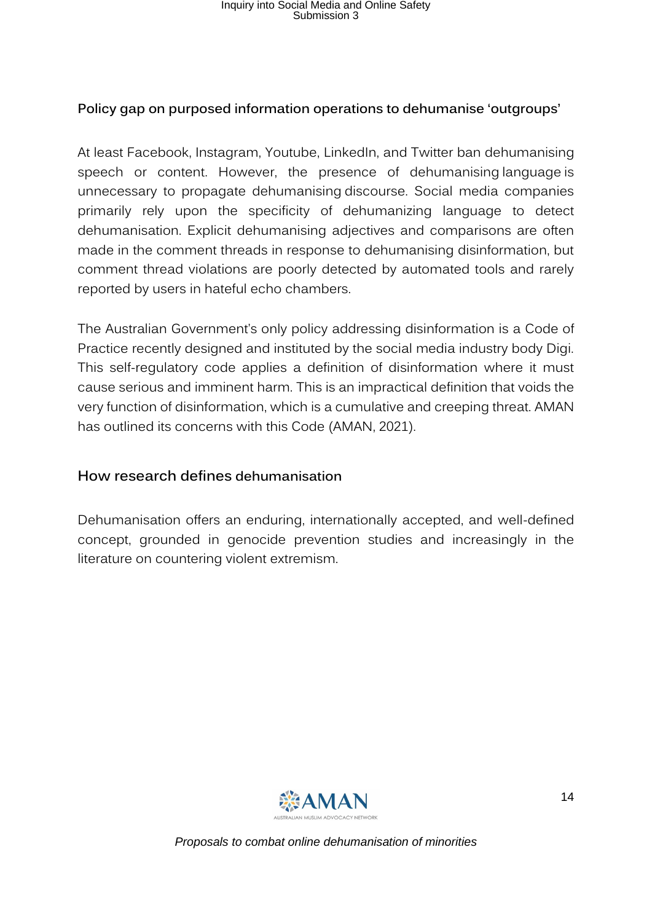#### **Policy gap on purposed information operations to dehumanise 'outgroups'**

At least Facebook, Instagram, Youtube, LinkedIn, and Twitter ban dehumanising speech or content. However, the presence of dehumanising language is unnecessary to propagate dehumanising discourse. Social media companies primarily rely upon the specificity of dehumanizing language to detect dehumanisation. Explicit dehumanising adjectives and comparisons are often made in the comment threads in response to dehumanising disinformation, but comment thread violations are poorly detected by automated tools and rarely reported by users in hateful echo chambers.

The Australian Government's only policy addressing disinformation is a Code of Practice recently designed and instituted by the social media industry body Digi. This self-regulatory code applies a definition of disinformation where it must cause serious and imminent harm. This is an impractical definition that voids the very function of disinformation, which is a cumulative and creeping threat. AMAN has outlined its concerns with this Code (AMAN, 2021).

#### <span id="page-13-0"></span>**How research defines dehumanisation**

Dehumanisation offers an enduring, internationally accepted, and well-defined concept, grounded in genocide prevention studies and increasingly in the literature on countering violent extremism.

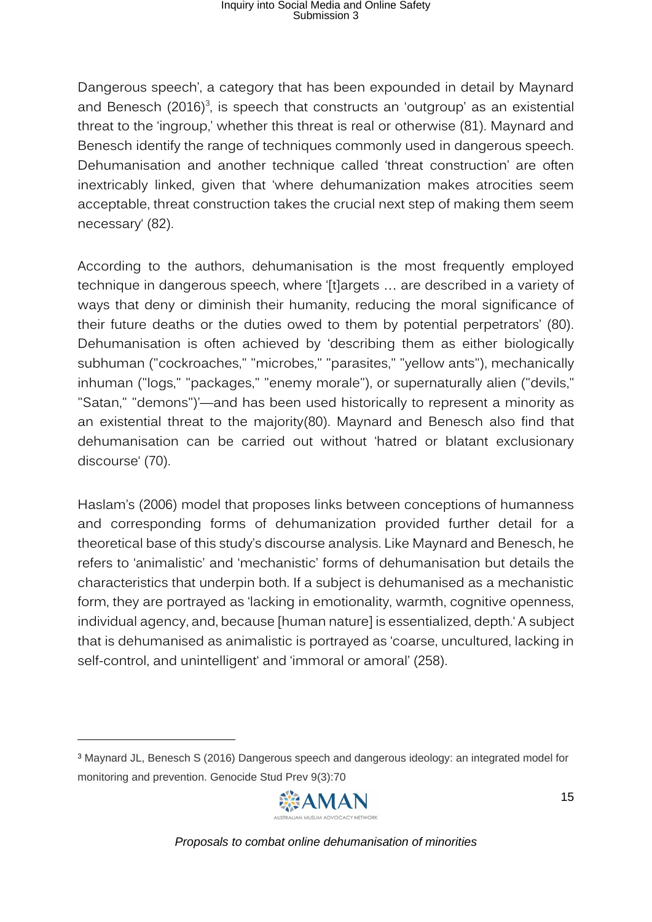Dangerous speech', a category that has been expounded in detail by Maynard and Benesch (2016)<sup>3</sup>, is speech that constructs an 'outgroup' as an existential threat to the 'ingroup,' whether this threat is real or otherwise (81). Maynard and Benesch identify the range of techniques commonly used in dangerous speech. Dehumanisation and another technique called 'threat construction' are often inextricably linked, given that 'where dehumanization makes atrocities seem acceptable, threat construction takes the crucial next step of making them seem necessary' (82).

According to the authors, dehumanisation is the most frequently employed technique in dangerous speech, where '[t]argets … are described in a variety of ways that deny or diminish their humanity, reducing the moral significance of their future deaths or the duties owed to them by potential perpetrators' (80). Dehumanisation is often achieved by 'describing them as either biologically subhuman ("cockroaches," "microbes," "parasites," "yellow ants"), mechanically inhuman ("logs," "packages," "enemy morale"), or supernaturally alien ("devils," "Satan," "demons")'—and has been used historically to represent a minority as an existential threat to the majority(80). Maynard and Benesch also find that dehumanisation can be carried out without 'hatred or blatant exclusionary discourse' (70).

Haslam's ([2006\)](https://link.springer.com/article/10.1007/s43545-021-00240-4#ref-CR15) model that proposes links between conceptions of humanness and corresponding forms of dehumanization provided further detail for a theoretical base of this study's discourse analysis. Like Maynard and Benesch, he refers to 'animalistic' and 'mechanistic' forms of dehumanisation but details the characteristics that underpin both. If a subject is dehumanised as a mechanistic form, they are portrayed as 'lacking in emotionality, warmth, cognitive openness, individual agency, and, because [human nature] is essentialized, depth.' A subject that is dehumanised as animalistic is portrayed as 'coarse, uncultured, lacking in self-control, and unintelligent' and 'immoral or amoral' (258).

<sup>3</sup> Maynard JL, Benesch S (2016) Dangerous speech and dangerous ideology: an integrated model for monitoring and prevention. Genocide Stud Prev 9(3):70

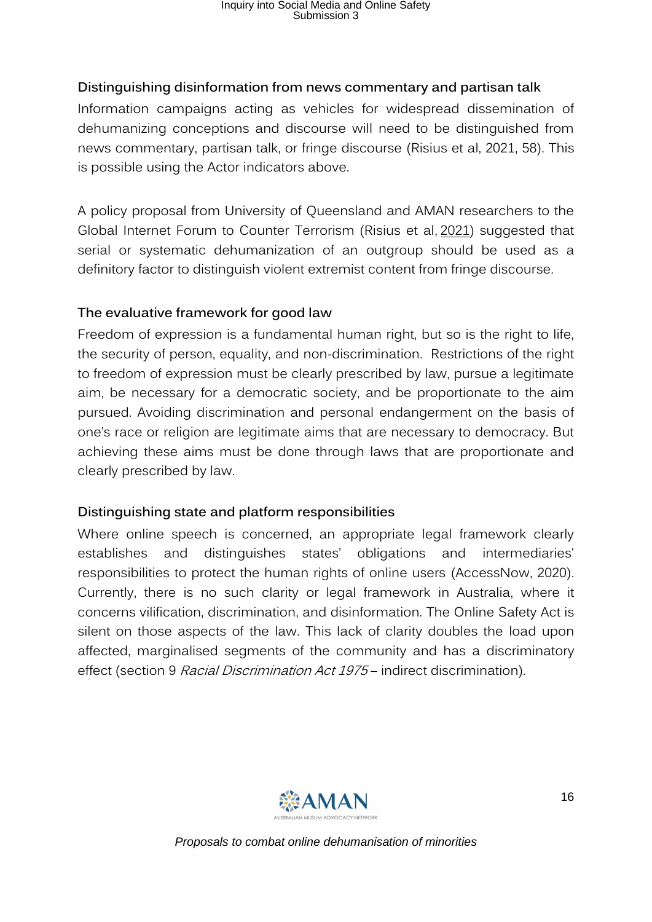#### <span id="page-15-0"></span>**Distinguishing disinformation from news commentary and partisan talk**

Information campaigns acting as vehicles for widespread dissemination of dehumanizing conceptions and discourse will need to be distinguished from news commentary, partisan talk, or fringe discourse (Risius et al, 2021, 58). This is possible using the Actor indicators above.

A policy proposal from University of Queensland and AMAN researchers to the Global Internet Forum to Counter Terrorism (Risius et al, [2021\)](https://link.springer.com/article/10.1007/s43545-021-00240-4#ref-CR32) suggested that serial or systematic dehumanization of an outgroup should be used as a definitory factor to distinguish violent extremist content from fringe discourse.

#### <span id="page-15-1"></span>**The evaluative framework for good law**

Freedom of expression is a fundamental human right, but so is the right to life, the security of person, equality, and non-discrimination. Restrictions of the right to freedom of expression must be clearly prescribed by law, pursue a legitimate aim, be necessary for a democratic society, and be proportionate to the aim pursued. Avoiding discrimination and personal endangerment on the basis of one's race or religion are legitimate aims that are necessary to democracy. But achieving these aims must be done through laws that are proportionate and clearly prescribed by law.

#### <span id="page-15-2"></span>**Distinguishing state and platform responsibilities**

Where online speech is concerned, an appropriate legal framework clearly establishes and distinguishes states' obligations and intermediaries' responsibilities to protect the human rights of online users (AccessNow, 2020). Currently, there is no such clarity or legal framework in Australia, where it concerns vilification, discrimination, and disinformation. The Online Safety Act is silent on those aspects of the law. This lack of clarity doubles the load upon affected, marginalised segments of the community and has a discriminatory effect (section 9 Racial Discrimination Act 1975 – indirect discrimination).

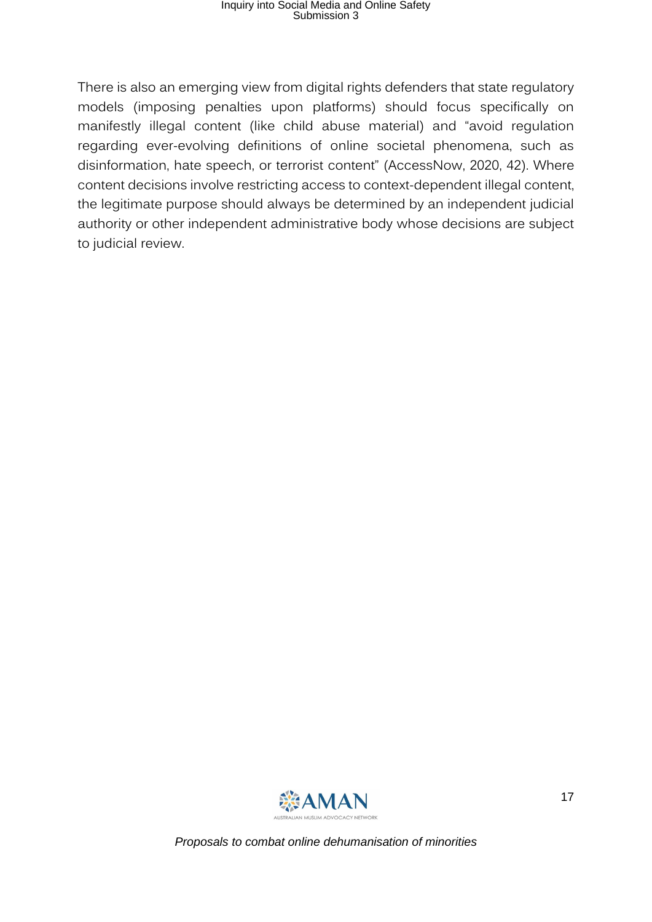There is also an emerging view from digital rights defenders that state regulatory models (imposing penalties upon platforms) should focus specifically on manifestly illegal content (like child abuse material) and "avoid regulation regarding ever-evolving definitions of online societal phenomena, such as disinformation, hate speech, or terrorist content" (AccessNow, 2020, 42). Where content decisions involve restricting access to context-dependent illegal content, the legitimate purpose should always be determined by an independent judicial authority or other independent administrative body whose decisions are subject to judicial review.

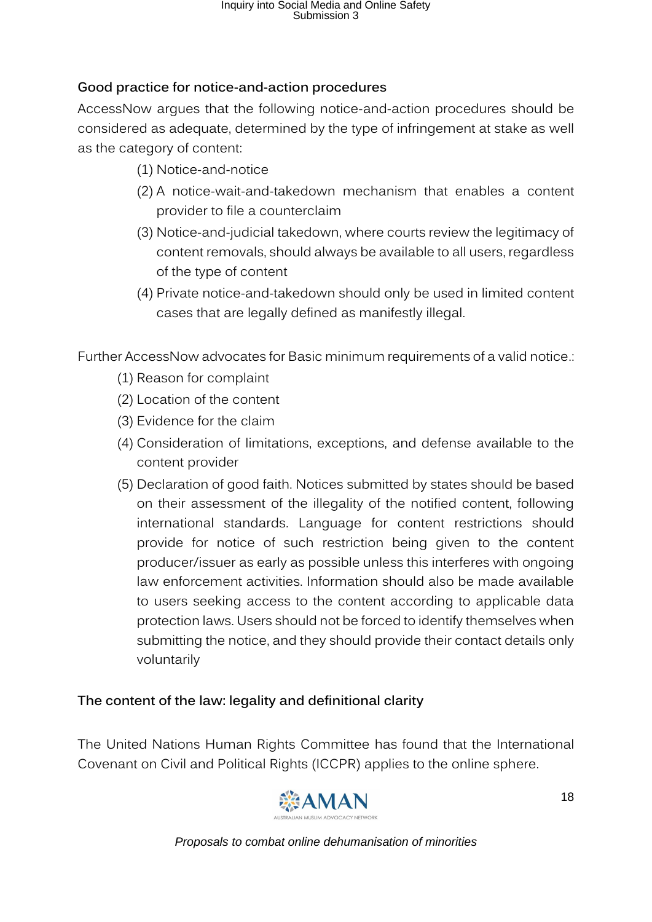#### <span id="page-17-0"></span>**Good practice for notice-and-action procedures**

AccessNow argues that the following notice-and-action procedures should be considered as adequate, determined by the type of infringement at stake as well as the category of content:

- (1) Notice-and-notice
- (2) A notice-wait-and-takedown mechanism that enables a content provider to file a counterclaim
- (3) Notice-and-judicial takedown, where courts review the legitimacy of content removals, should always be available to all users, regardless of the type of content
- (4) Private notice-and-takedown should only be used in limited content cases that are legally defined as manifestly illegal.

Further AccessNow advocates for Basic minimum requirements of a valid notice.:

- (1) Reason for complaint
- (2) Location of the content
- (3) Evidence for the claim
- (4) Consideration of limitations, exceptions, and defense available to the content provider
- (5) Declaration of good faith. Notices submitted by states should be based on their assessment of the illegality of the notified content, following international standards. Language for content restrictions should provide for notice of such restriction being given to the content producer/issuer as early as possible unless this interferes with ongoing law enforcement activities. Information should also be made available to users seeking access to the content according to applicable data protection laws. Users should not be forced to identify themselves when submitting the notice, and they should provide their contact details only voluntarily

#### <span id="page-17-1"></span>**The content of the law: legality and definitional clarity**

The United Nations Human Rights Committee has found that the International Covenant on Civil and Political Rights (ICCPR) applies to the online sphere.

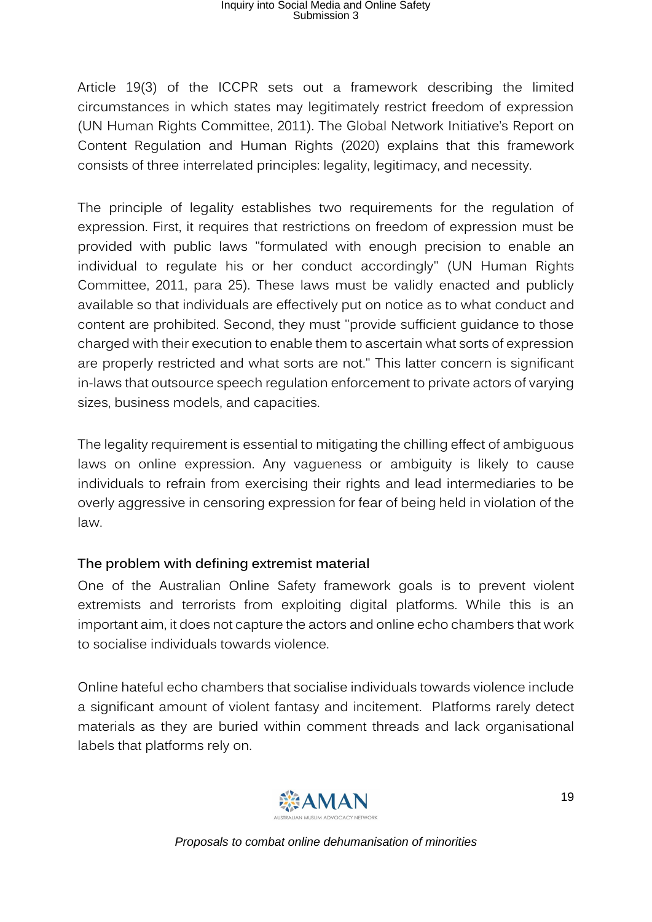Article 19(3) of the ICCPR sets out a framework describing the limited circumstances in which states may legitimately restrict freedom of expression (UN Human Rights Committee, 2011). The Global Network Initiative's Report on Content Regulation and Human Rights (2020) explains that this framework consists of three interrelated principles: legality, legitimacy, and necessity.

The principle of legality establishes two requirements for the regulation of expression. First, it requires that restrictions on freedom of expression must be provided with public laws "formulated with enough precision to enable an individual to regulate his or her conduct accordingly" (UN Human Rights Committee, 2011, para 25). These laws must be validly enacted and publicly available so that individuals are effectively put on notice as to what conduct and content are prohibited. Second, they must "provide sufficient guidance to those charged with their execution to enable them to ascertain what sorts of expression are properly restricted and what sorts are not." This latter concern is significant in-laws that outsource speech regulation enforcement to private actors of varying sizes, business models, and capacities.

The legality requirement is essential to mitigating the chilling effect of ambiguous laws on online expression. Any vagueness or ambiguity is likely to cause individuals to refrain from exercising their rights and lead intermediaries to be overly aggressive in censoring expression for fear of being held in violation of the law.

#### <span id="page-18-0"></span>**The problem with defining extremist material**

One of the Australian Online Safety framework goals is to prevent violent extremists and terrorists from exploiting digital platforms. While this is an important aim, it does not capture the actors and online echo chambers that work to socialise individuals towards violence.

Online hateful echo chambers that socialise individuals towards violence include a significant amount of violent fantasy and incitement. Platforms rarely detect materials as they are buried within comment threads and lack organisational labels that platforms rely on.

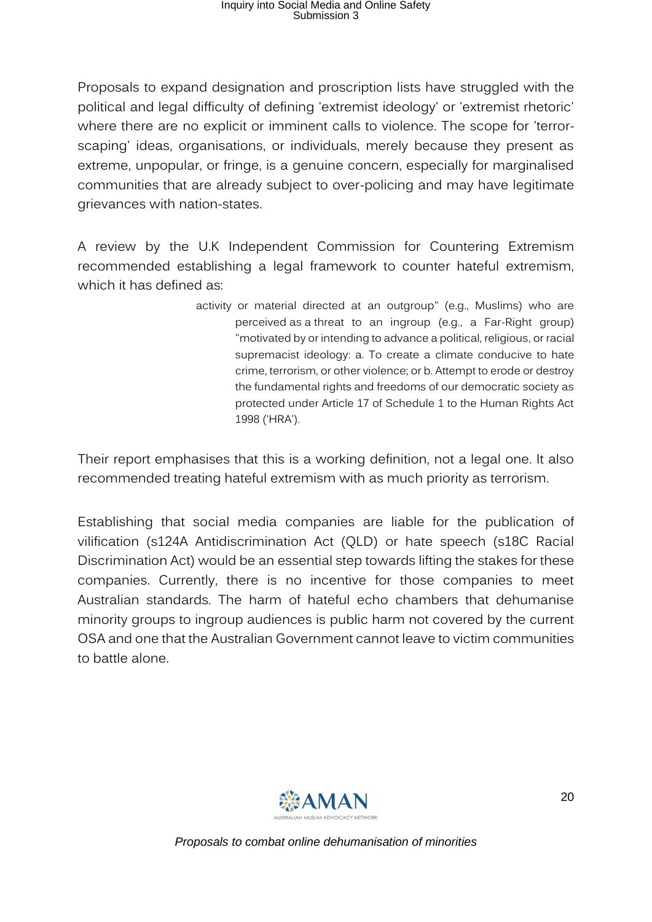Proposals to expand designation and proscription lists have struggled with the political and legal difficulty of defining 'extremist ideology' or 'extremist rhetoric' where there are no explicit or imminent calls to violence. The scope for 'terrorscaping' ideas, organisations, or individuals, merely because they present as extreme, unpopular, or fringe, is a genuine concern, especially for marginalised communities that are already subject to over-policing and may have legitimate grievances with nation-states.

A review by the U.K Independent Commission for Countering Extremism recommended establishing a legal framework to counter hateful extremism, which it has defined as:

> activity or material directed at an outgroup" (e.g., Muslims) who are perceived as a threat to an ingroup (e.g., a Far-Right group) "motivated by or intending to advance a political, religious, or racial supremacist ideology: a. To create a climate conducive to hate crime, terrorism, or other violence; or b. Attempt to erode or destroy the fundamental rights and freedoms of our democratic society as protected under Article 17 of Schedule 1 to the Human Rights Act 1998 ('HRA').

Their report emphasises that this is a working definition, not a legal one. It also recommended treating hateful extremism with as much priority as terrorism.

Establishing that social media companies are liable for the publication of vilification (s124A Antidiscrimination Act (QLD) or hate speech (s18C Racial Discrimination Act) would be an essential step towards lifting the stakes for these companies. Currently, there is no incentive for those companies to meet Australian standards. The harm of hateful echo chambers that dehumanise minority groups to ingroup audiences is public harm not covered by the current OSA and one that the Australian Government cannot leave to victim communities to battle alone.

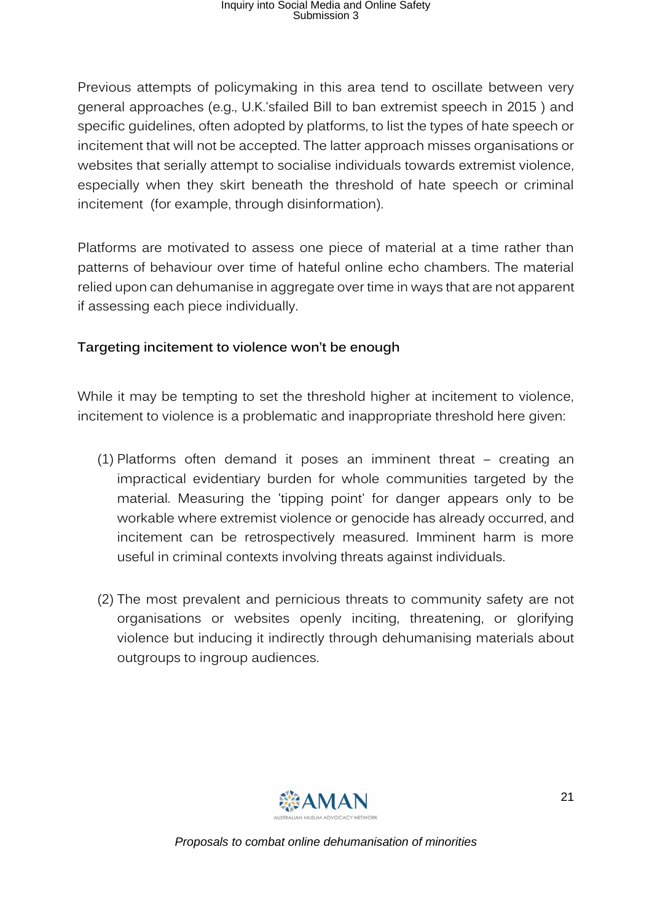Previous attempts of policymaking in this area tend to oscillate between very general approaches (e.g., U.K.'sfailed Bill to ban extremist speech in 2015 ) and specific guidelines, often adopted by platforms, to list the types of hate speech or incitement that will not be accepted. The latter approach misses organisations or websites that serially attempt to socialise individuals towards extremist violence, especially when they skirt beneath the threshold of hate speech or criminal incitement (for example, through disinformation).

Platforms are motivated to assess one piece of material at a time rather than patterns of behaviour over time of hateful online echo chambers. The material relied upon can dehumanise in aggregate over time in ways that are not apparent if assessing each piece individually.

#### <span id="page-20-0"></span>**Targeting incitement to violence won't be enough**

While it may be tempting to set the threshold higher at incitement to violence, incitement to violence is a problematic and inappropriate threshold here given:

- (1) Platforms often demand it poses an imminent threat creating an impractical evidentiary burden for whole communities targeted by the material. Measuring the 'tipping point' for danger appears only to be workable where extremist violence or genocide has already occurred, and incitement can be retrospectively measured. Imminent harm is more useful in criminal contexts involving threats against individuals.
- (2) The most prevalent and pernicious threats to community safety are not organisations or websites openly inciting, threatening, or glorifying violence but inducing it indirectly through dehumanising materials about outgroups to ingroup audiences.

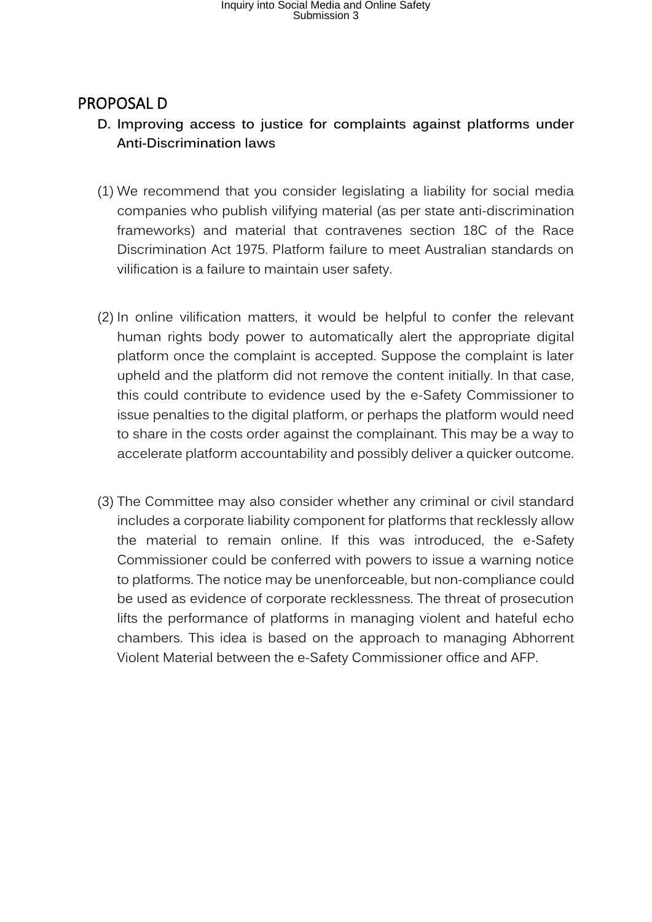#### <span id="page-21-1"></span><span id="page-21-0"></span>PROPOSAL D

- **D. Improving access to justice for complaints against platforms under Anti-Discrimination laws**
- (1) We recommend that you consider legislating a liability for social media companies who publish vilifying material (as per state anti-discrimination frameworks) and material that contravenes section 18C of the Race Discrimination Act 1975. Platform failure to meet Australian standards on vilification is a failure to maintain user safety.
- (2) In online vilification matters, it would be helpful to confer the relevant human rights body power to automatically alert the appropriate digital platform once the complaint is accepted. Suppose the complaint is later upheld and the platform did not remove the content initially. In that case, this could contribute to evidence used by the e-Safety Commissioner to issue penalties to the digital platform, or perhaps the platform would need to share in the costs order against the complainant. This may be a way to accelerate platform accountability and possibly deliver a quicker outcome.
- (3) The Committee may also consider whether any criminal or civil standard includes a corporate liability component for platforms that recklessly allow the material to remain online. If this was introduced, the e-Safety Commissioner could be conferred with powers to issue a warning notice to platforms. The notice may be unenforceable, but non-compliance could be used as evidence of corporate recklessness. The threat of prosecution lifts the performance of platforms in managing violent and hateful echo chambers. This idea is based on the approach to managing Abhorrent Violent Material between the e-Safety Commissioner office and AFP.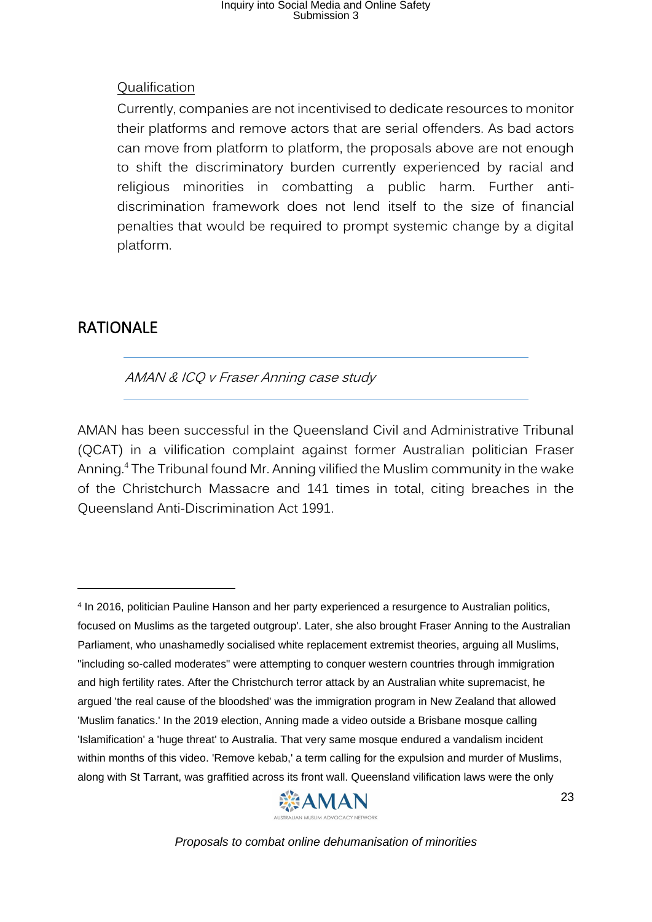#### Qualification

Currently, companies are not incentivised to dedicate resources to monitor their platforms and remove actors that are serial offenders. As bad actors can move from platform to platform, the proposals above are not enough to shift the discriminatory burden currently experienced by racial and religious minorities in combatting a public harm. Further antidiscrimination framework does not lend itself to the size of financial penalties that would be required to prompt systemic change by a digital platform.

#### <span id="page-22-0"></span>RATIONALE

AMAN & ICQ v Fraser Anning case study

AMAN has been successful in the Queensland Civil and Administrative Tribunal (QCAT) in a vilification complaint against former Australian politician Fraser Anning.<sup>4</sup> The Tribunal found Mr. Anning vilified the Muslim community in the wake of the Christchurch Massacre and 141 times in total, citing breaches in the Queensland Anti-Discrimination Act 1991.

<sup>4</sup> In 2016, politician Pauline Hanson and her party experienced a resurgence to Australian politics, focused on Muslims as the targeted outgroup'. Later, she also brought Fraser Anning to the Australian Parliament, who unashamedly socialised white replacement extremist theories, arguing all Muslims, "including so-called moderates" were attempting to conquer western countries through immigration and high fertility rates. After the Christchurch terror attack by an Australian white supremacist, he argued 'the real cause of the bloodshed' was the immigration program in New Zealand that allowed 'Muslim fanatics.' In the 2019 election, Anning made a video outside a Brisbane mosque calling 'Islamification' a 'huge threat' to Australia. That very same mosque endured a vandalism incident within months of this video. 'Remove kebab,' a term calling for the expulsion and murder of Muslims, along with St Tarrant, was graffitied across its front wall. Queensland vilification laws were the only

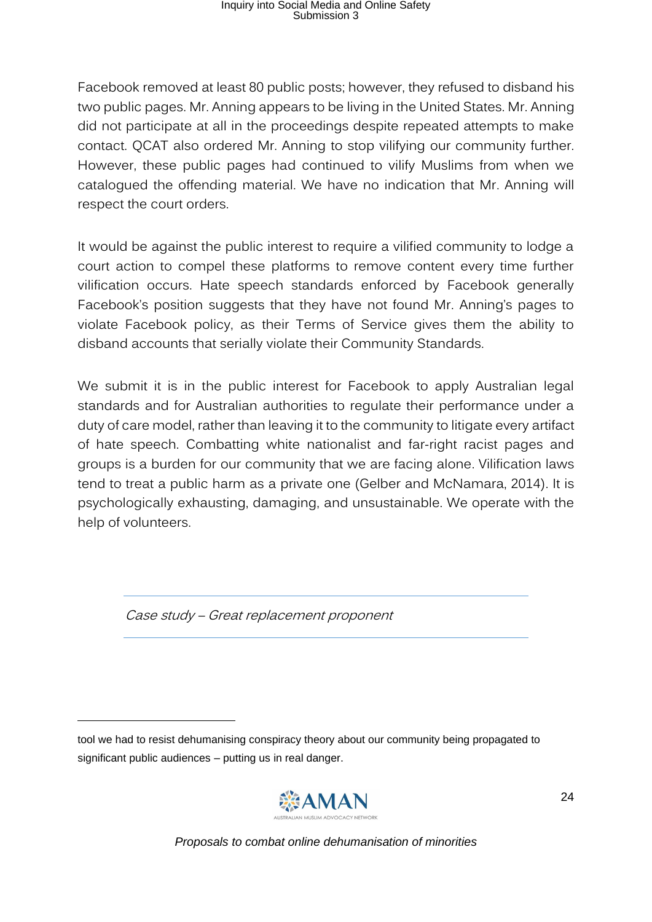Facebook removed at least 80 public posts; however, they refused to disband his two public pages. Mr. Anning appears to be living in the United States. Mr. Anning did not participate at all in the proceedings despite repeated attempts to make contact. QCAT also ordered Mr. Anning to stop vilifying our community further. However, these public pages had continued to vilify Muslims from when we catalogued the offending material. We have no indication that Mr. Anning will respect the court orders.

It would be against the public interest to require a vilified community to lodge a court action to compel these platforms to remove content every time further vilification occurs. Hate speech standards enforced by Facebook generally Facebook's position suggests that they have not found Mr. Anning's pages to violate Facebook policy, as their Terms of Service gives them the ability to disband accounts that serially violate their Community Standards.

We submit it is in the public interest for Facebook to apply Australian legal standards and for Australian authorities to regulate their performance under a duty of care model, rather than leaving it to the community to litigate every artifact of hate speech. Combatting white nationalist and far-right racist pages and groups is a burden for our community that we are facing alone. Vilification laws tend to treat a public harm as a private one (Gelber and McNamara, 2014). It is psychologically exhausting, damaging, and unsustainable. We operate with the help of volunteers.

Case study – Great replacement proponent

tool we had to resist dehumanising conspiracy theory about our community being propagated to significant public audiences – putting us in real danger.

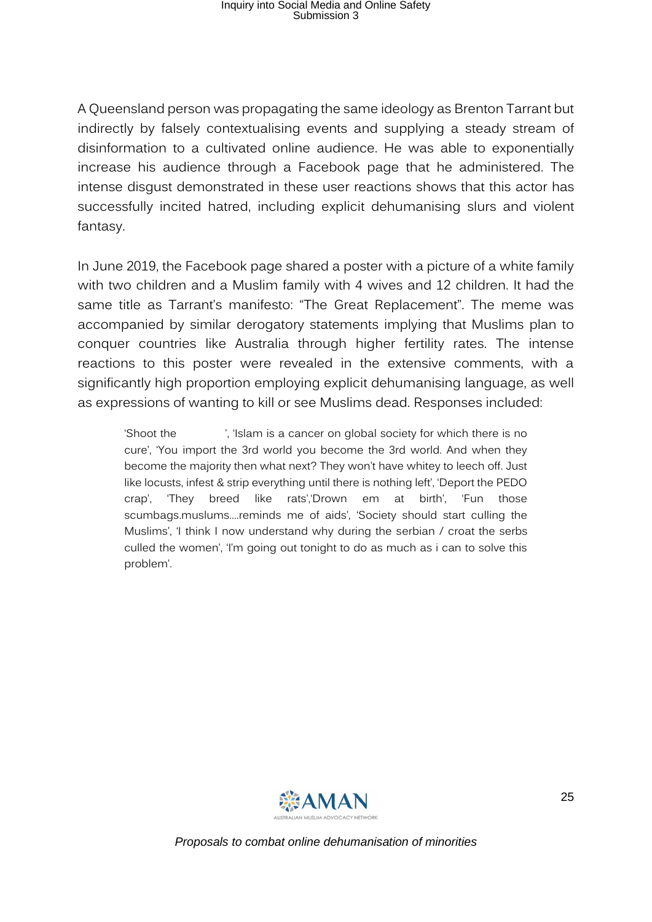A Queensland person was propagating the same ideology as Brenton Tarrant but indirectly by falsely contextualising events and supplying a steady stream of disinformation to a cultivated online audience. He was able to exponentially increase his audience through a Facebook page that he administered. The intense disgust demonstrated in these user reactions shows that this actor has successfully incited hatred, including explicit dehumanising slurs and violent fantasy.

In June 2019, the Facebook page shared a poster with a picture of a white family with two children and a Muslim family with 4 wives and 12 children. It had the same title as Tarrant's manifesto: "The Great Replacement". The meme was accompanied by similar derogatory statements implying that Muslims plan to conquer countries like Australia through higher fertility rates. The intense reactions to this poster were revealed in the extensive comments, with a significantly high proportion employing explicit dehumanising language, as well as expressions of wanting to kill or see Muslims dead. Responses included:

'Shoot the ', 'Islam is a cancer on global society for which there is no cure', 'You import the 3rd world you become the 3rd world. And when they become the majority then what next? They won't have whitey to leech off. Just like locusts, infest & strip everything until there is nothing left', 'Deport the PEDO crap', 'They breed like rats','Drown em at birth', 'Fun those scumbags.muslums....reminds me of aids', 'Society should start culling the Muslims', 'I think I now understand why during the serbian / croat the serbs culled the women', 'I'm going out tonight to do as much as i can to solve this problem'.

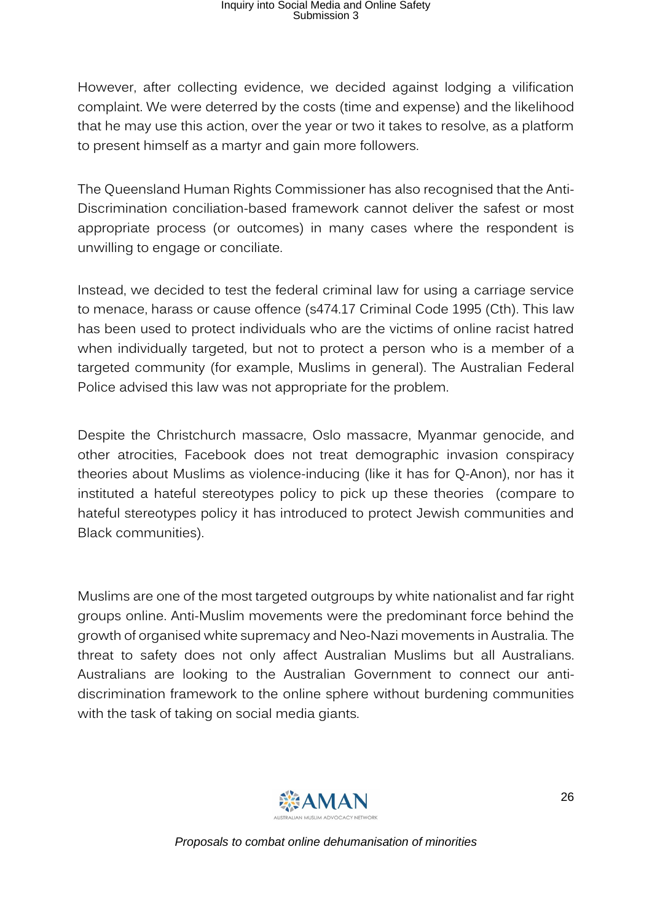However, after collecting evidence, we decided against lodging a vilification complaint. We were deterred by the costs (time and expense) and the likelihood that he may use this action, over the year or two it takes to resolve, as a platform to present himself as a martyr and gain more followers.

The Queensland Human Rights Commissioner has also recognised that the Anti-Discrimination conciliation-based framework cannot deliver the safest or most appropriate process (or outcomes) in many cases where the respondent is unwilling to engage or conciliate.

Instead, we decided to test the federal criminal law for using a carriage service to menace, harass or cause offence (s474.17 Criminal Code 1995 (Cth). This law has been used to protect individuals who are the victims of online racist hatred when individually targeted, but not to protect a person who is a member of a targeted community (for example, Muslims in general). The Australian Federal Police advised this law was not appropriate for the problem.

Despite the Christchurch massacre, Oslo massacre, Myanmar genocide, and other atrocities, Facebook does not treat demographic invasion conspiracy theories about Muslims as violence-inducing (like it has for Q-Anon), nor has it instituted a hateful stereotypes policy to pick up these theories (compare to hateful stereotypes policy it has introduced to protect Jewish communities and Black communities).

Muslims are one of the most targeted outgroups by white nationalist and far right groups online. Anti-Muslim movements were the predominant force behind the growth of organised white supremacy and Neo-Nazi movements in Australia. The threat to safety does not only affect Australian Muslims but all Australians. Australians are looking to the Australian Government to connect our antidiscrimination framework to the online sphere without burdening communities with the task of taking on social media giants.

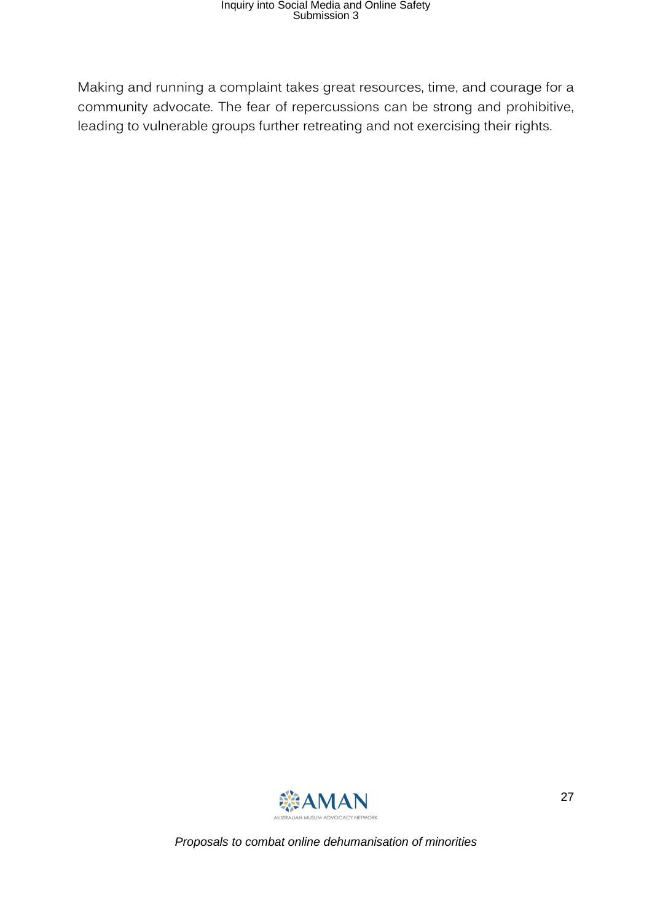Making and running a complaint takes great resources, time, and courage for a community advocate. The fear of repercussions can be strong and prohibitive, leading to vulnerable groups further retreating and not exercising their rights.

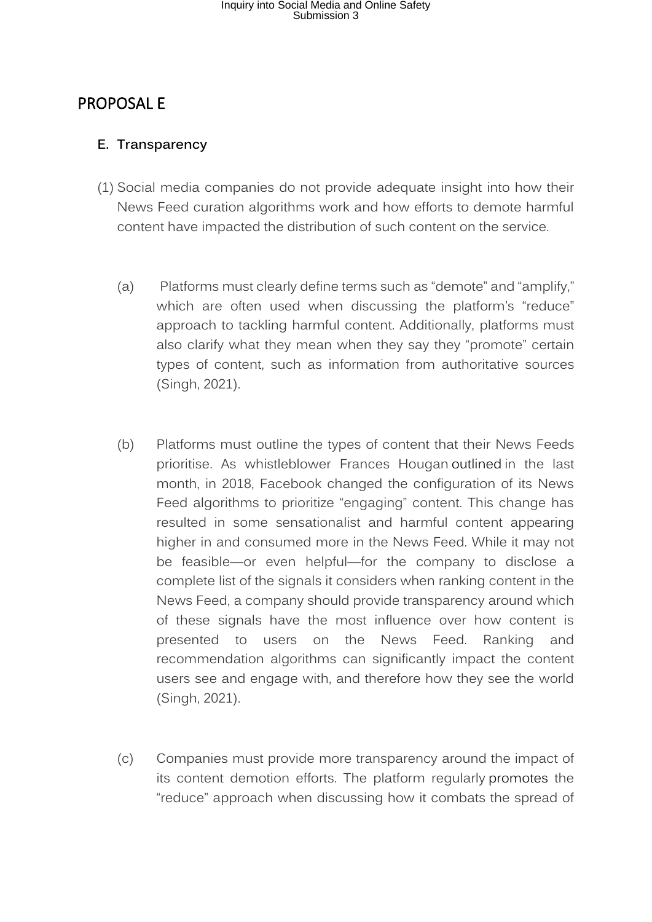#### <span id="page-27-0"></span>PROPOSAL E

#### <span id="page-27-1"></span>**E. Transparency**

- (1) Social media companies do not provide adequate insight into how their News Feed curation algorithms work and how efforts to demote harmful content have impacted the distribution of such content on the service.
	- (a) Platforms must clearly define terms such as "demote" and "amplify," which are often used when discussing the platform's "reduce" approach to tackling harmful content. Additionally, platforms must also clarify what they mean when they say they "promote" certain types of content, such as information from authoritative sources (Singh, 2021).
	- (b) Platforms must outline the types of content that their News Feeds prioritise. As whistleblower Frances Hougan outlined in the last month, in 2018, Facebook changed the configuration of its News Feed algorithms to prioritize "engaging" content. This change has resulted in some sensationalist and harmful content appearing higher in and consumed more in the News Feed. While it may not be feasible—or even helpful—for the company to disclose a complete list of the signals it considers when ranking content in the News Feed, a company should provide transparency around which of these signals have the most influence over how content is presented to users on the News Feed. Ranking and recommendation algorithms can significantly impact the content users see and engage with, and therefore how they see the world (Singh, 2021).
	- (c) Companies must provide more transparency around the impact of its content demotion efforts. The platform regularly promotes the "reduce" approach when discussing how it combats the spread of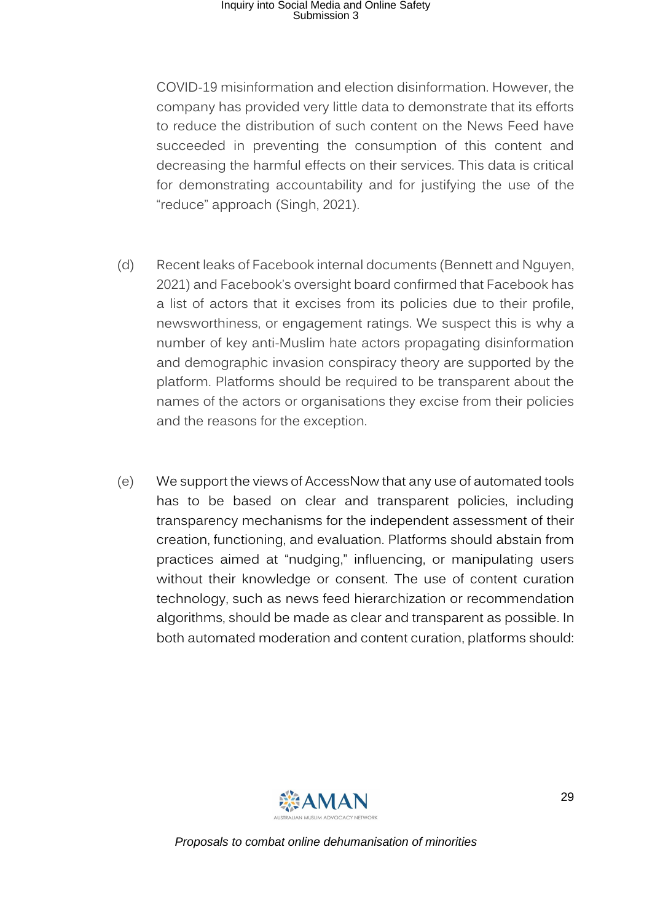COVID-19 misinformation and election disinformation. However, the company has provided very little data to demonstrate that its efforts to reduce the distribution of such content on the News Feed have succeeded in preventing the consumption of this content and decreasing the harmful effects on their services. This data is critical for demonstrating accountability and for justifying the use of the "reduce" approach (Singh, 2021).

- (d) Recent leaks of Facebook internal documents (Bennett and Nguyen, 2021) and Facebook's oversight board confirmed that Facebook has a list of actors that it excises from its policies due to their profile, newsworthiness, or engagement ratings. We suspect this is why a number of key anti-Muslim hate actors propagating disinformation and demographic invasion conspiracy theory are supported by the platform. Platforms should be required to be transparent about the names of the actors or organisations they excise from their policies and the reasons for the exception.
- (e) We support the views of AccessNow that any use of automated tools has to be based on clear and transparent policies, including transparency mechanisms for the independent assessment of their creation, functioning, and evaluation. Platforms should abstain from practices aimed at "nudging," influencing, or manipulating users without their knowledge or consent. The use of content curation technology, such as news feed hierarchization or recommendation algorithms, should be made as clear and transparent as possible. In both automated moderation and content curation, platforms should:

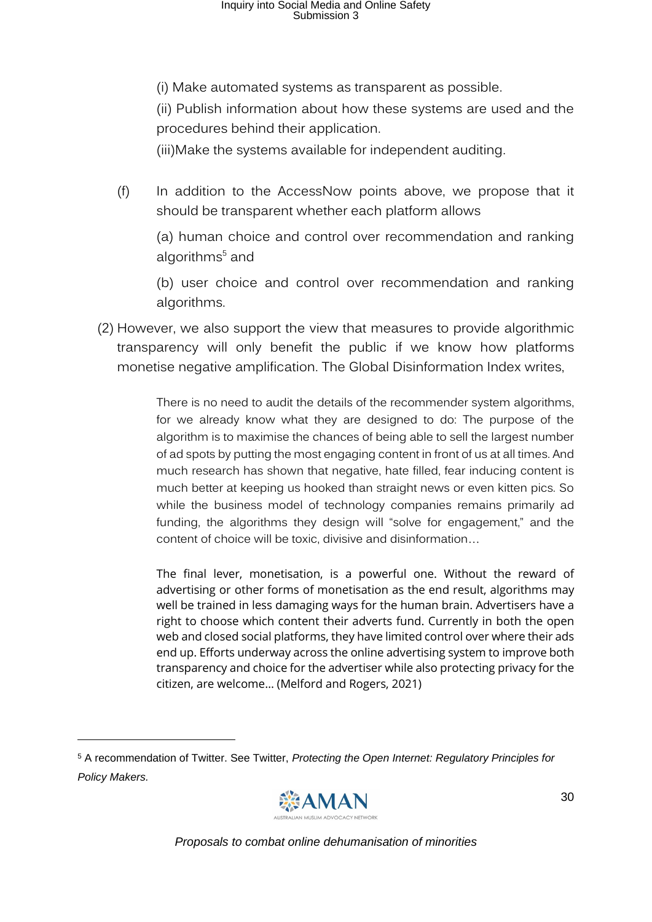(i) Make automated systems as transparent as possible.

(ii) Publish information about how these systems are used and the procedures behind their application.

(iii)Make the systems available for independent auditing.

(f) In addition to the AccessNow points above, we propose that it should be transparent whether each platform allows

(a) human choice and control over recommendation and ranking algorithms<sup>5</sup> and

(b) user choice and control over recommendation and ranking algorithms.

(2) However, we also support the view that measures to provide algorithmic transparency will only benefit the public if we know how platforms monetise negative amplification. The Global Disinformation Index writes,

> There is no need to audit the details of the recommender system algorithms, for we already know what they are designed to do: The purpose of the algorithm is to maximise the chances of being able to sell the largest number of ad spots by putting the most engaging content in front of us at all times. And much research has shown that negative, hate filled, fear inducing content is much better at keeping us hooked than straight news or even kitten pics. So while the business model of technology companies remains primarily ad funding, the algorithms they design will "solve for engagement," and the content of choice will be toxic, divisive and disinformation…

> The final lever, monetisation, is a powerful one. Without the reward of advertising or other forms of monetisation as the end result, algorithms may well be trained in less damaging ways for the human brain. Advertisers have a right to choose which content their adverts fund. Currently in both the open web and closed social platforms, they have limited control over where their ads end up. Efforts underway across the online advertising system to improve both transparency and choice for the advertiser while also protecting privacy for the citizen, are welcome… (Melford and Rogers, 2021)

<sup>5</sup> A recommendation of Twitter. See Twitter, *Protecting the Open Internet: Regulatory Principles for Policy Makers.* 

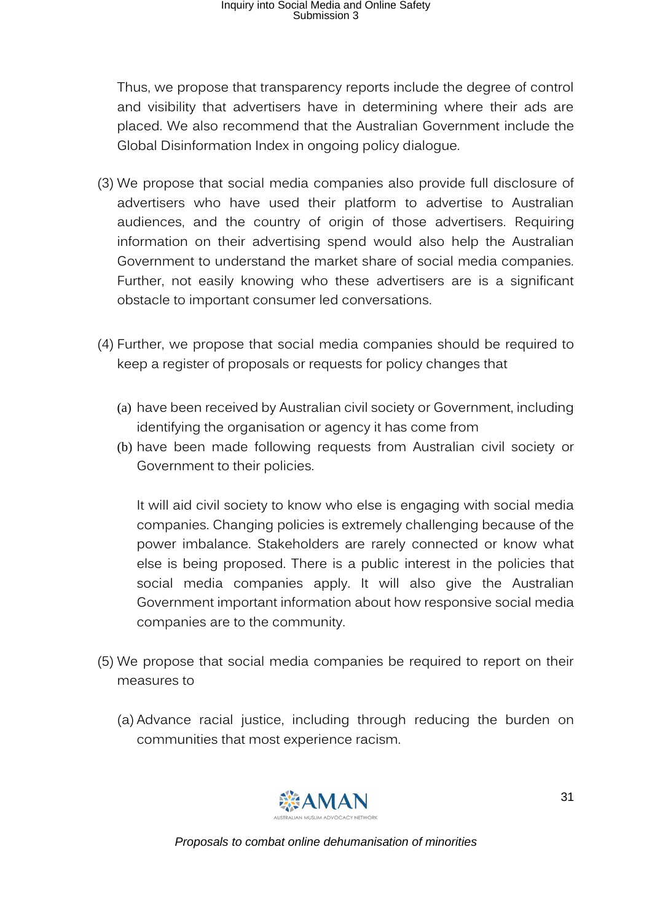Thus, we propose that transparency reports include the degree of control and visibility that advertisers have in determining where their ads are placed. We also recommend that the Australian Government include the Global Disinformation Index in ongoing policy dialogue.

- (3) We propose that social media companies also provide full disclosure of advertisers who have used their platform to advertise to Australian audiences, and the country of origin of those advertisers. Requiring information on their advertising spend would also help the Australian Government to understand the market share of social media companies. Further, not easily knowing who these advertisers are is a significant obstacle to important consumer led conversations.
- (4) Further, we propose that social media companies should be required to keep a register of proposals or requests for policy changes that
	- (a) have been received by Australian civil society or Government, including identifying the organisation or agency it has come from
	- (b) have been made following requests from Australian civil society or Government to their policies.

It will aid civil society to know who else is engaging with social media companies. Changing policies is extremely challenging because of the power imbalance. Stakeholders are rarely connected or know what else is being proposed. There is a public interest in the policies that social media companies apply. It will also give the Australian Government important information about how responsive social media companies are to the community.

- (5) We propose that social media companies be required to report on their measures to
	- (a) Advance racial justice, including through reducing the burden on communities that most experience racism.

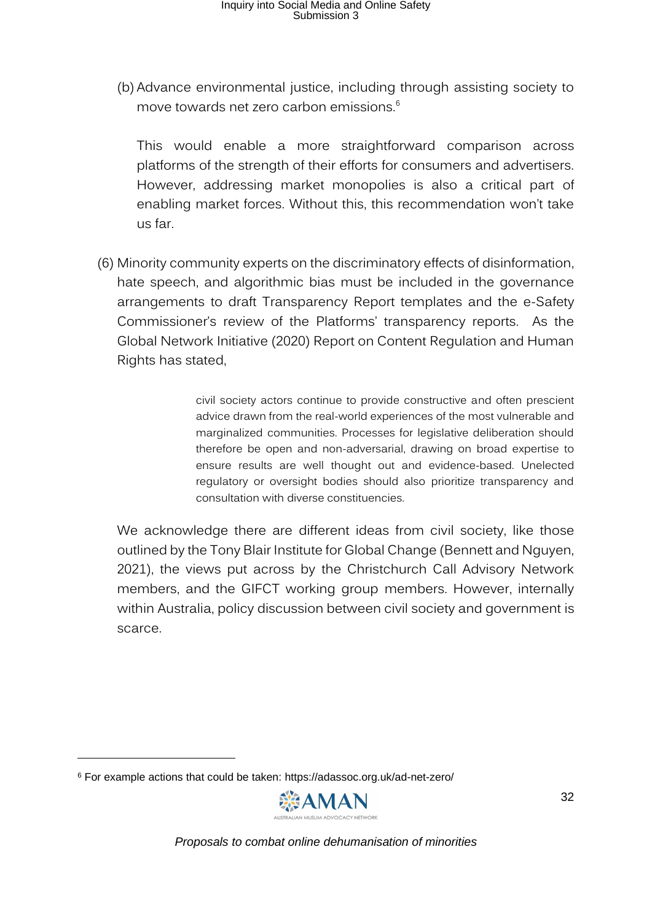(b) Advance environmental justice, including through assisting society to move towards net zero carbon emissions.<sup>6</sup>

This would enable a more straightforward comparison across platforms of the strength of their efforts for consumers and advertisers. However, addressing market monopolies is also a critical part of enabling market forces. Without this, this recommendation won't take us far.

(6) Minority community experts on the discriminatory effects of disinformation, hate speech, and algorithmic bias must be included in the governance arrangements to draft Transparency Report templates and the e-Safety Commissioner's review of the Platforms' transparency reports. As the Global Network Initiative (2020) Report on Content Regulation and Human Rights has stated,

> civil society actors continue to provide constructive and often prescient advice drawn from the real-world experiences of the most vulnerable and marginalized communities. Processes for legislative deliberation should therefore be open and non-adversarial, drawing on broad expertise to ensure results are well thought out and evidence-based. Unelected regulatory or oversight bodies should also prioritize transparency and consultation with diverse constituencies.

We acknowledge there are different ideas from civil society, like those outlined by the Tony Blair Institute for Global Change (Bennett and Nguyen, 2021), the views put across by the Christchurch Call Advisory Network members, and the GIFCT working group members. However, internally within Australia, policy discussion between civil society and government is scarce.

<sup>6</sup> For example actions that could be taken: https://adassoc.org.uk/ad-net-zero/

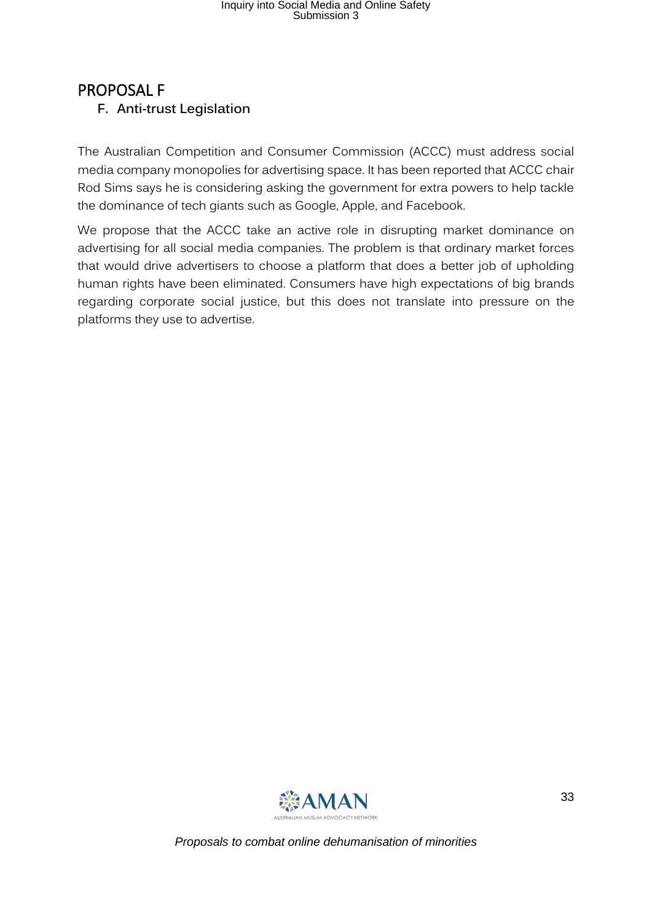#### <span id="page-32-0"></span>PROPOSAL F **F. Anti-trust Legislation**

The Australian Competition and Consumer Commission (ACCC) must address social media company monopolies for advertising space. It has been reported that ACCC chair Rod Sims says he is considering asking the government for extra powers to help tackle the dominance of tech giants such as Google, Apple, and Facebook.

We propose that the ACCC take an active role in disrupting market dominance on advertising for all social media companies. The problem is that ordinary market forces that would drive advertisers to choose a platform that does a better job of upholding human rights have been eliminated. Consumers have high expectations of big brands regarding corporate social justice, but this does not translate into pressure on the platforms they use to advertise.

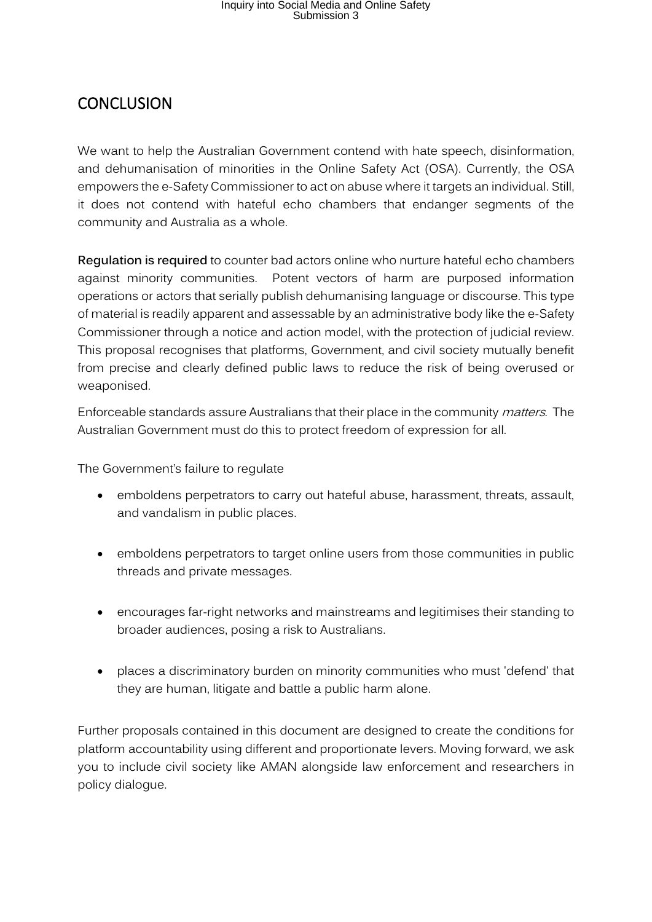#### <span id="page-33-0"></span>**CONCLUSION**

We want to help the Australian Government contend with hate speech, disinformation, and dehumanisation of minorities in the Online Safety Act (OSA). Currently, the OSA empowers the e-Safety Commissioner to act on abuse where it targets an individual. Still, it does not contend with hateful echo chambers that endanger segments of the community and Australia as a whole.

**Regulation is required** to counter bad actors online who nurture hateful echo chambers against minority communities. Potent vectors of harm are purposed information operations or actors that serially publish dehumanising language or discourse. This type of material is readily apparent and assessable by an administrative body like the e-Safety Commissioner through a notice and action model, with the protection of judicial review. This proposal recognises that platforms, Government, and civil society mutually benefit from precise and clearly defined public laws to reduce the risk of being overused or weaponised.

Enforceable standards assure Australians that their place in the community matters. The Australian Government must do this to protect freedom of expression for all.

The Government's failure to regulate

- emboldens perpetrators to carry out hateful abuse, harassment, threats, assault, and vandalism in public places.
- emboldens perpetrators to target online users from those communities in public threads and private messages.
- encourages far-right networks and mainstreams and legitimises their standing to broader audiences, posing a risk to Australians.
- places a discriminatory burden on minority communities who must 'defend' that they are human, litigate and battle a public harm alone.

Further proposals contained in this document are designed to create the conditions for platform accountability using different and proportionate levers. Moving forward, we ask you to include civil society like AMAN alongside law enforcement and researchers in policy dialogue.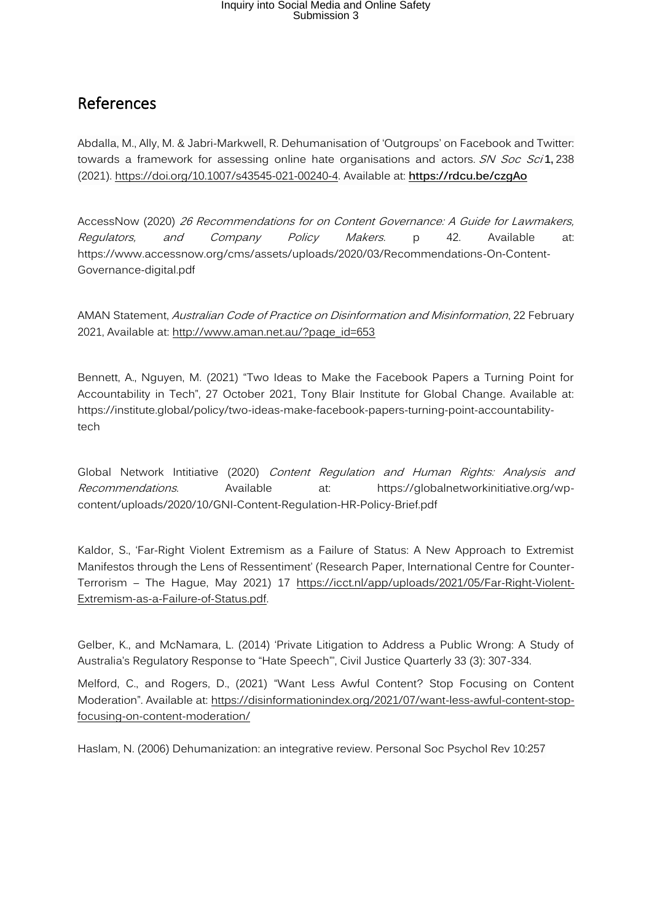#### <span id="page-34-0"></span>References

Abdalla, M., Ally, M. & Jabri-Markwell, R. Dehumanisation of 'Outgroups' on Facebook and Twitter: towards a framework for assessing online hate organisations and actors. SN Soc Sci1, 238 (2021). [https://doi.org/10.1007/s43545-021-00240-4.](https://doi.org/10.1007/s43545-021-00240-4) Available at: **<https://rdcu.be/czgAo>**

AccessNow (2020) 26 Recommendations for on Content Governance: A Guide for Lawmakers, Regulators, and Company Policy Makers. p 42. Available at: https://www.accessnow.org/cms/assets/uploads/2020/03/Recommendations-On-Content-Governance-digital.pdf

AMAN Statement, Australian Code of Practice on Disinformation and Misinformation, 22 February 2021, Available at: [http://www.aman.net.au/?page\\_id=653](http://www.aman.net.au/?page_id=653)

Bennett, A., Nguyen, M. (2021) "Two Ideas to Make the Facebook Papers a Turning Point for Accountability in Tech", 27 October 2021, Tony Blair Institute for Global Change. Available at: https://institute.global/policy/two-ideas-make-facebook-papers-turning-point-accountabilitytech

Global Network Intitiative (2020) Content Regulation and Human Rights: Analysis and Recommendations. Available at: https://globalnetworkinitiative.org/wpcontent/uploads/2020/10/GNI-Content-Regulation-HR-Policy-Brief.pdf

Kaldor, S., 'Far-Right Violent Extremism as a Failure of Status: A New Approach to Extremist Manifestos through the Lens of Ressentiment' (Research Paper, International Centre for Counter-Terrorism – The Hague, May 2021) 17 [https://icct.nl/app/uploads/2021/05/Far-Right-Violent-](https://icct.nl/app/uploads/2021/05/Far-Right-Violent-Extremism-as-a-Failure-of-Status.pdf)[Extremism-as-a-Failure-of-Status.pdf.](https://icct.nl/app/uploads/2021/05/Far-Right-Violent-Extremism-as-a-Failure-of-Status.pdf)

Gelber, K., and McNamara, L. (2014) 'Private Litigation to Address a Public Wrong: A Study of Australia's Regulatory Response to "Hate Speech"', Civil Justice Quarterly 33 (3): 307-334.

Melford, C., and Rogers, D., (2021) "Want Less Awful Content? Stop Focusing on Content Moderation". Available at: [https://disinformationindex.org/2021/07/want-less-awful-content-stop](https://disinformationindex.org/2021/07/want-less-awful-content-stop-focusing-on-content-moderation/)[focusing-on-content-moderation/](https://disinformationindex.org/2021/07/want-less-awful-content-stop-focusing-on-content-moderation/)

Haslam, N. (2006) Dehumanization: an integrative review. Personal Soc Psychol Rev 10:257